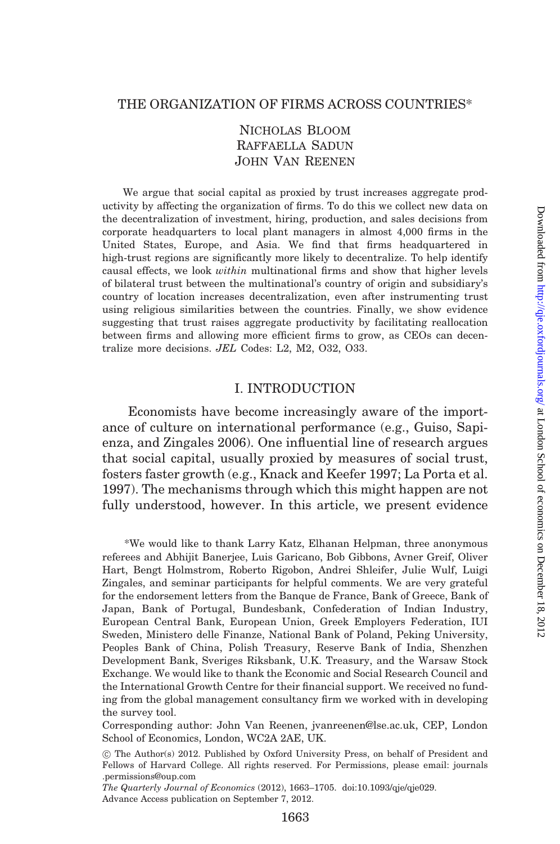#### THE ORGANIZATION OF FIRMS ACROSS COUNTRIES\*

Nicholas Bloom Raffaella Sadun John Van Reenen

We argue that social capital as proxied by trust increases aggregate productivity by affecting the organization of firms. To do this we collect new data on the decentralization of investment, hiring, production, and sales decisions from corporate headquarters to local plant managers in almost 4,000 firms in the United States, Europe, and Asia. We find that firms headquartered in high-trust regions are significantly more likely to decentralize. To help identify causal effects, we look within multinational firms and show that higher levels of bilateral trust between the multinational's country of origin and subsidiary's country of location increases decentralization, even after instrumenting trust using religious similarities between the countries. Finally, we show evidence suggesting that trust raises aggregate productivity by facilitating reallocation between firms and allowing more efficient firms to grow, as CEOs can decentralize more decisions. JEL Codes: L2, M2, O32, O33.

### I. INTRODUCTION

Economists have become increasingly aware of the importance of culture on international performance (e.g., [Guiso, Sapi](#page-41-0)[enza, and Zingales 2006\)](#page-41-0). One influential line of research argues that social capital, usually proxied by measures of social trust, fosters faster growth (e.g., [Knack and Keefer 1997](#page-42-0); [La Porta et al.](#page-42-0) [1997\)](#page-42-0). The mechanisms through which this might happen are not fully understood, however. In this article, we present evidence

\*We would like to thank Larry Katz, Elhanan Helpman, three anonymous referees and Abhijit Banerjee, Luis Garicano, Bob Gibbons, Avner Greif, Oliver Hart, Bengt Holmstrom, Roberto Rigobon, Andrei Shleifer, Julie Wulf, Luigi Zingales, and seminar participants for helpful comments. We are very grateful for the endorsement letters from the Banque de France, Bank of Greece, Bank of Japan, Bank of Portugal, Bundesbank, Confederation of Indian Industry, European Central Bank, European Union, Greek Employers Federation, IUI Sweden, Ministero delle Finanze, National Bank of Poland, Peking University, Peoples Bank of China, Polish Treasury, Reserve Bank of India, Shenzhen Development Bank, Sveriges Riksbank, U.K. Treasury, and the Warsaw Stock Exchange. We would like to thank the Economic and Social Research Council and the International Growth Centre for their financial support. We received no funding from the global management consultancy firm we worked with in developing the survey tool.

Corresponding author: John Van Reenen, jvanreenen@lse.ac.uk, CEP, London School of Economics, London, WC2A 2AE, UK.

The Quarterly Journal of Economics (2012), 1663–1705. doi:10.1093/qje/qje029. Advance Access publication on September 7, 2012.

<sup>!</sup> The Author(s) 2012. Published by Oxford University Press, on behalf of President and Fellows of Harvard College. All rights reserved. For Permissions, please email: journals .permissions@oup.com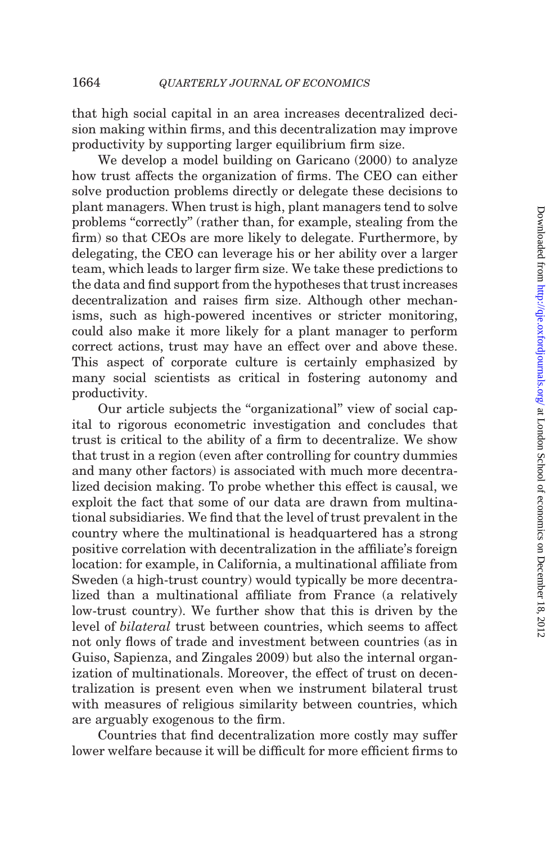that high social capital in an area increases decentralized decision making within firms, and this decentralization may improve productivity by supporting larger equilibrium firm size.

We develop a model building on [Garicano \(2000\)](#page-41-0) to analyze how trust affects the organization of firms. The CEO can either solve production problems directly or delegate these decisions to plant managers. When trust is high, plant managers tend to solve problems ''correctly'' (rather than, for example, stealing from the firm) so that CEOs are more likely to delegate. Furthermore, by delegating, the CEO can leverage his or her ability over a larger team, which leads to larger firm size. We take these predictions to the data and find support from the hypotheses that trust increases decentralization and raises firm size. Although other mechanisms, such as high-powered incentives or stricter monitoring, could also make it more likely for a plant manager to perform correct actions, trust may have an effect over and above these. This aspect of corporate culture is certainly emphasized by many social scientists as critical in fostering autonomy and productivity.

Our article subjects the "organizational" view of social capital to rigorous econometric investigation and concludes that trust is critical to the ability of a firm to decentralize. We show that trust in a region (even after controlling for country dummies and many other factors) is associated with much more decentralized decision making. To probe whether this effect is causal, we exploit the fact that some of our data are drawn from multinational subsidiaries. We find that the level of trust prevalent in the country where the multinational is headquartered has a strong positive correlation with decentralization in the affiliate's foreign location: for example, in California, a multinational affiliate from Sweden (a high-trust country) would typically be more decentralized than a multinational affiliate from France (a relatively low-trust country). We further show that this is driven by the level of bilateral trust between countries, which seems to affect not only flows of trade and investment between countries (as in [Guiso, Sapienza, and Zingales 2009](#page-41-0)) but also the internal organization of multinationals. Moreover, the effect of trust on decentralization is present even when we instrument bilateral trust with measures of religious similarity between countries, which are arguably exogenous to the firm.

Countries that find decentralization more costly may suffer lower welfare because it will be difficult for more efficient firms to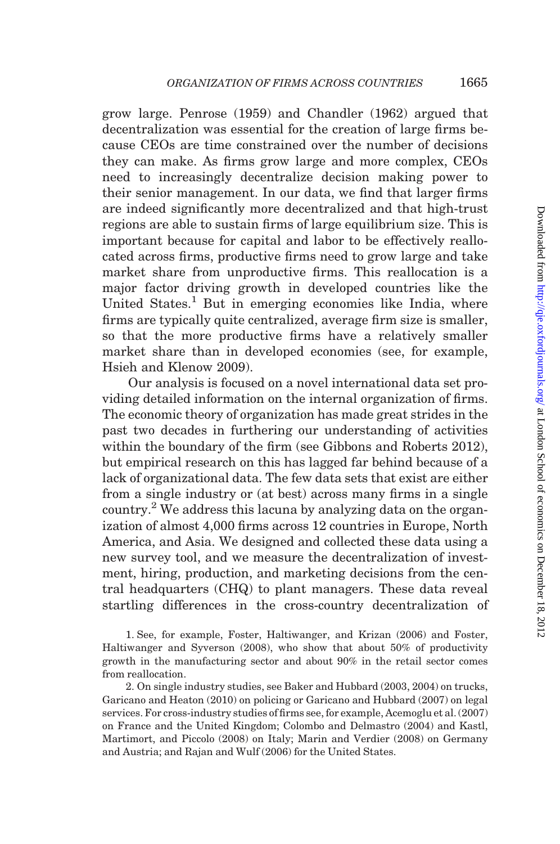grow large. [Penrose \(1959\)](#page-42-0) and [Chandler \(1962\)](#page-41-0) argued that decentralization was essential for the creation of large firms because CEOs are time constrained over the number of decisions they can make. As firms grow large and more complex, CEOs need to increasingly decentralize decision making power to their senior management. In our data, we find that larger firms are indeed significantly more decentralized and that high-trust regions are able to sustain firms of large equilibrium size. This is important because for capital and labor to be effectively reallocated across firms, productive firms need to grow large and take market share from unproductive firms. This reallocation is a major factor driving growth in developed countries like the United States.<sup>1</sup> But in emerging economies like India, where firms are typically quite centralized, average firm size is smaller, so that the more productive firms have a relatively smaller market share than in developed economies (see, for example, [Hsieh and Klenow 2009\)](#page-42-0).

Our analysis is focused on a novel international data set providing detailed information on the internal organization of firms. The economic theory of organization has made great strides in the past two decades in furthering our understanding of activities within the boundary of the firm (see [Gibbons and Roberts 2012\)](#page-41-0), but empirical research on this has lagged far behind because of a lack of organizational data. The few data sets that exist are either from a single industry or (at best) across many firms in a single country.<sup>2</sup> We address this lacuna by analyzing data on the organization of almost 4,000 firms across 12 countries in Europe, North America, and Asia. We designed and collected these data using a new survey tool, and we measure the decentralization of investment, hiring, production, and marketing decisions from the central headquarters (CHQ) to plant managers. These data reveal startling differences in the cross-country decentralization of

1. See, for example, [Foster, Haltiwanger, and Krizan \(2006\)](#page-41-0) and [Foster,](#page-41-0) [Haltiwanger and Syverson \(2008\),](#page-41-0) who show that about 50% of productivity growth in the manufacturing sector and about 90% in the retail sector comes from reallocation.

2. On single industry studies, see Baker and Hubbard ([2003](#page-40-0), [2004\)](#page-40-0) on trucks, [Garicano and Heaton \(2010\)](#page-41-0) on policing or [Garicano and Hubbard \(2007\)](#page-41-0) on legal services. For cross-industry studies of firms see, for example, [Acemoglu et al. \(2007\)](#page-40-0) on France and the United Kingdom; [Colombo and Delmastro \(2004\)](#page-41-0) and [Kastl,](#page-42-0) [Martimort, and Piccolo \(2008\)](#page-42-0) on Italy; [Marin and Verdier \(2008\)](#page-42-0) on Germany and Austria; and [Rajan and Wulf \(2006\)](#page-42-0) for the United States.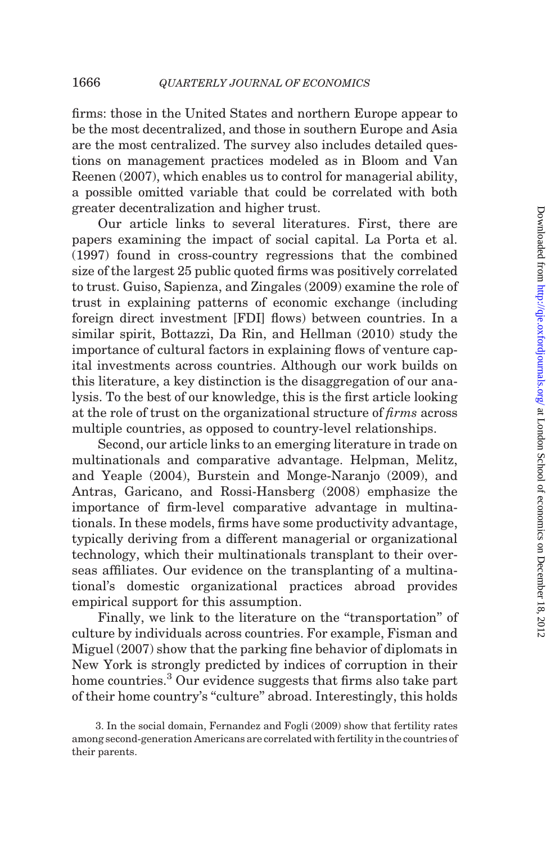firms: those in the United States and northern Europe appear to be the most decentralized, and those in southern Europe and Asia are the most centralized. The survey also includes detailed questions on management practices modeled as in [Bloom and Van](#page-40-0) [Reenen \(2007\)](#page-40-0), which enables us to control for managerial ability, a possible omitted variable that could be correlated with both greater decentralization and higher trust.

Our article links to several literatures. First, there are papers examining the impact of social capital. [La Porta et al.](#page-42-0) [\(1997\)](#page-42-0) found in cross-country regressions that the combined size of the largest 25 public quoted firms was positively correlated to trust. [Guiso, Sapienza, and Zingales \(2009\)](#page-41-0) examine the role of trust in explaining patterns of economic exchange (including foreign direct investment [FDI] flows) between countries. In a similar spirit, [Bottazzi, Da Rin, and Hellman \(2010\)](#page-40-0) study the importance of cultural factors in explaining flows of venture capital investments across countries. Although our work builds on this literature, a key distinction is the disaggregation of our analysis. To the best of our knowledge, this is the first article looking at the role of trust on the organizational structure of firms across multiple countries, as opposed to country-level relationships.

Second, our article links to an emerging literature in trade on multinationals and comparative advantage. [Helpman, Melitz,](#page-42-0) [and Yeaple \(2004\),](#page-42-0) [Burstein and Monge-Naranjo \(2009\),](#page-40-0) and [Antras, Garicano, and Rossi-Hansberg \(2008\)](#page-40-0) emphasize the importance of firm-level comparative advantage in multinationals. In these models, firms have some productivity advantage, typically deriving from a different managerial or organizational technology, which their multinationals transplant to their overseas affiliates. Our evidence on the transplanting of a multinational's domestic organizational practices abroad provides empirical support for this assumption.

Finally, we link to the literature on the "transportation" of culture by individuals across countries. For example, [Fisman and](#page-41-0) [Miguel \(2007\)](#page-41-0) show that the parking fine behavior of diplomats in New York is strongly predicted by indices of corruption in their home countries.<sup>3</sup> Our evidence suggests that firms also take part of their home country's ''culture'' abroad. Interestingly, this holds

<sup>3.</sup> In the social domain, [Fernandez and Fogli \(2009\)](#page-41-0) show that fertility rates among second-generation Americans are correlated with fertility in the countries of their parents.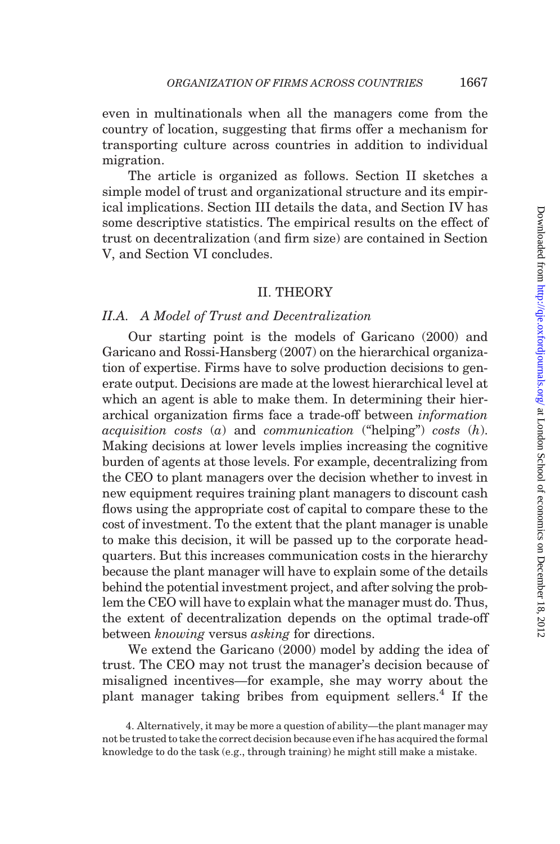even in multinationals when all the managers come from the country of location, suggesting that firms offer a mechanism for transporting culture across countries in addition to individual migration.

The article is organized as follows. Section II sketches a simple model of trust and organizational structure and its empirical implications. Section III details the data, and Section IV has some descriptive statistics. The empirical results on the effect of trust on decentralization (and firm size) are contained in Section V, and Section VI concludes.

## II. THEORY

## II.A. A Model of Trust and Decentralization

Our starting point is the models of [Garicano \(2000\)](#page-41-0) and [Garicano and Rossi-Hansberg \(2007\)](#page-41-0) on the hierarchical organization of expertise. Firms have to solve production decisions to generate output. Decisions are made at the lowest hierarchical level at which an agent is able to make them. In determining their hierarchical organization firms face a trade-off between information  $acquisition \ costs \ (a) \ and \ communication \ ("helping") \ costs \ (h).$ Making decisions at lower levels implies increasing the cognitive burden of agents at those levels. For example, decentralizing from the CEO to plant managers over the decision whether to invest in new equipment requires training plant managers to discount cash flows using the appropriate cost of capital to compare these to the cost of investment. To the extent that the plant manager is unable to make this decision, it will be passed up to the corporate headquarters. But this increases communication costs in the hierarchy because the plant manager will have to explain some of the details behind the potential investment project, and after solving the problem the CEO will have to explain what the manager must do. Thus, the extent of decentralization depends on the optimal trade-off between knowing versus asking for directions.

We extend the [Garicano \(2000\)](#page-41-0) model by adding the idea of trust. The CEO may not trust the manager's decision because of misaligned incentives—for example, she may worry about the plant manager taking bribes from equipment sellers.<sup>4</sup> If the

<sup>4.</sup> Alternatively, it may be more a question of ability—the plant manager may not be trusted to take the correct decision because even if he has acquired the formal knowledge to do the task (e.g., through training) he might still make a mistake.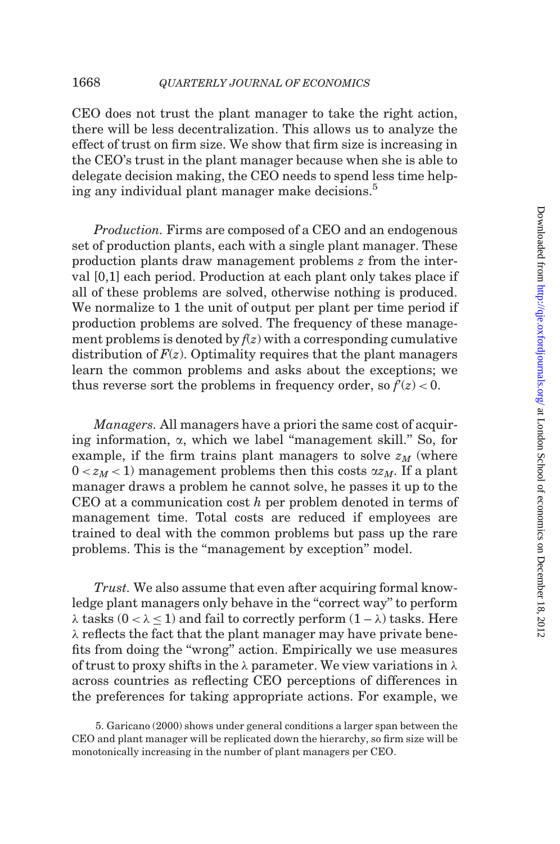CEO does not trust the plant manager to take the right action, there will be less decentralization. This allows us to analyze the effect of trust on firm size. We show that firm size is increasing in the CEO's trust in the plant manager because when she is able to delegate decision making, the CEO needs to spend less time helping any individual plant manager make decisions.<sup>5</sup>

Production. Firms are composed of a CEO and an endogenous set of production plants, each with a single plant manager. These production plants draw management problems z from the interval [0,1] each period. Production at each plant only takes place if all of these problems are solved, otherwise nothing is produced. We normalize to 1 the unit of output per plant per time period if production problems are solved. The frequency of these management problems is denoted by  $f(z)$  with a corresponding cumulative distribution of  $F(z)$ . Optimality requires that the plant managers learn the common problems and asks about the exceptions; we thus reverse sort the problems in frequency order, so  $f(z) < 0$ .

Managers. All managers have a priori the same cost of acquiring information,  $\alpha$ , which we label "management skill." So, for example, if the firm trains plant managers to solve  $z_M$  (where  $0 < z_M < 1$ ) management problems then this costs  $\alpha z_M$ . If a plant manager draws a problem he cannot solve, he passes it up to the CEO at a communication cost h per problem denoted in terms of management time. Total costs are reduced if employees are trained to deal with the common problems but pass up the rare problems. This is the ''management by exception'' model.

Trust. We also assume that even after acquiring formal knowledge plant managers only behave in the "correct way" to perform  $\lambda$  tasks ( $0 < \lambda \leq 1$ ) and fail to correctly perform ( $1 - \lambda$ ) tasks. Here  $\lambda$  reflects the fact that the plant manager may have private benefits from doing the ''wrong'' action. Empirically we use measures of trust to proxy shifts in the  $\lambda$  parameter. We view variations in  $\lambda$ across countries as reflecting CEO perceptions of differences in the preferences for taking appropriate actions. For example, we

<sup>5.</sup> [Garicano \(2000\)](#page-41-0) shows under general conditions a larger span between the CEO and plant manager will be replicated down the hierarchy, so firm size will be monotonically increasing in the number of plant managers per CEO.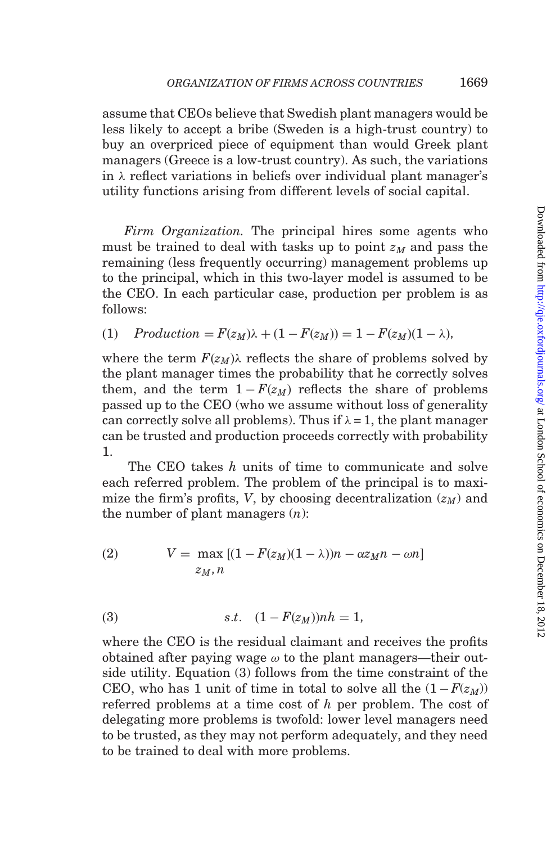<span id="page-6-0"></span>assume that CEOs believe that Swedish plant managers would be less likely to accept a bribe (Sweden is a high-trust country) to buy an overpriced piece of equipment than would Greek plant managers (Greece is a low-trust country). As such, the variations in  $\lambda$  reflect variations in beliefs over individual plant manager's utility functions arising from different levels of social capital.

Firm Organization. The principal hires some agents who must be trained to deal with tasks up to point  $z_M$  and pass the remaining (less frequently occurring) management problems up to the principal, which in this two-layer model is assumed to be the CEO. In each particular case, production per problem is as follows:

(1) 
$$
Production = F(z_M)\lambda + (1 - F(z_M)) = 1 - F(z_M)(1 - \lambda),
$$

where the term  $F(z_M) \lambda$  reflects the share of problems solved by the plant manager times the probability that he correctly solves them, and the term  $1 - F(z_M)$  reflects the share of problems passed up to the CEO (who we assume without loss of generality can correctly solve all problems). Thus if  $\lambda = 1$ , the plant manager can be trusted and production proceeds correctly with probability 1.

The CEO takes h units of time to communicate and solve each referred problem. The problem of the principal is to maximize the firm's profits, V, by choosing decentralization  $(z_M)$  and the number of plant managers  $(n)$ :

(2) 
$$
V = \max_{z_M, n} [(1 - F(z_M)(1 - \lambda))n - \alpha z_M n - \omega n]
$$

(3) 
$$
s.t. (1 - F(z_M))nh = 1,
$$

where the CEO is the residual claimant and receives the profits obtained after paying wage  $\omega$  to the plant managers—their outside utility. Equation (3) follows from the time constraint of the CEO, who has 1 unit of time in total to solve all the  $(1 - F(z_M))$ referred problems at a time cost of  $h$  per problem. The cost of delegating more problems is twofold: lower level managers need to be trusted, as they may not perform adequately, and they need to be trained to deal with more problems.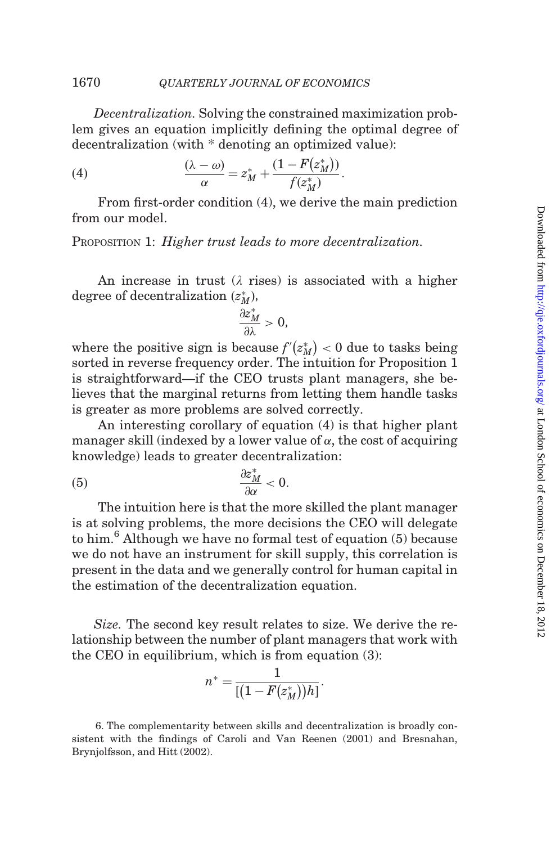## 1670 QUARTERLY JOURNAL OF ECONOMICS

Decentralization. Solving the constrained maximization problem gives an equation implicitly defining the optimal degree of decentralization (with \* denoting an optimized value):

(4) 
$$
\frac{(\lambda - \omega)}{\alpha} = z_M^* + \frac{(1 - F(z_M^*))}{f(z_M^*)}.
$$

From first-order condition (4), we derive the main prediction from our model.

PROPOSITION 1: Higher trust leads to more decentralization.

An increase in trust  $(\lambda$  rises) is associated with a higher degree of decentralization  $(z_M^*),$ 

$$
\frac{\partial z_M^*}{\partial \lambda} > 0,
$$

where the positive sign is because  $f'(z_M^*)$  $(z_M^*)$  < 0 due to tasks being sorted in reverse frequency order. The intuition for Proposition 1 is straightforward—if the CEO trusts plant managers, she believes that the marginal returns from letting them handle tasks is greater as more problems are solved correctly.

An interesting corollary of equation (4) is that higher plant manager skill (indexed by a lower value of  $\alpha$ , the cost of acquiring knowledge) leads to greater decentralization:

$$
\frac{\partial z_M^*}{\partial \alpha} < 0.
$$

The intuition here is that the more skilled the plant manager is at solving problems, the more decisions the CEO will delegate to him.<sup>6</sup> Although we have no formal test of equation  $(5)$  because we do not have an instrument for skill supply, this correlation is present in the data and we generally control for human capital in the estimation of the decentralization equation.

Size. The second key result relates to size. We derive the relationship between the number of plant managers that work with the CEO in equilibrium, which is from [equation \(3\):](#page-6-0)

$$
n^*=\frac{1}{[(1-F(z_M^*))h]}.
$$

6. The complementarity between skills and decentralization is broadly consistent with the findings of [Caroli and Van Reenen \(2001\)](#page-41-0) and [Bresnahan,](#page-40-0) [Brynjolfsson, and Hitt \(2002\).](#page-40-0)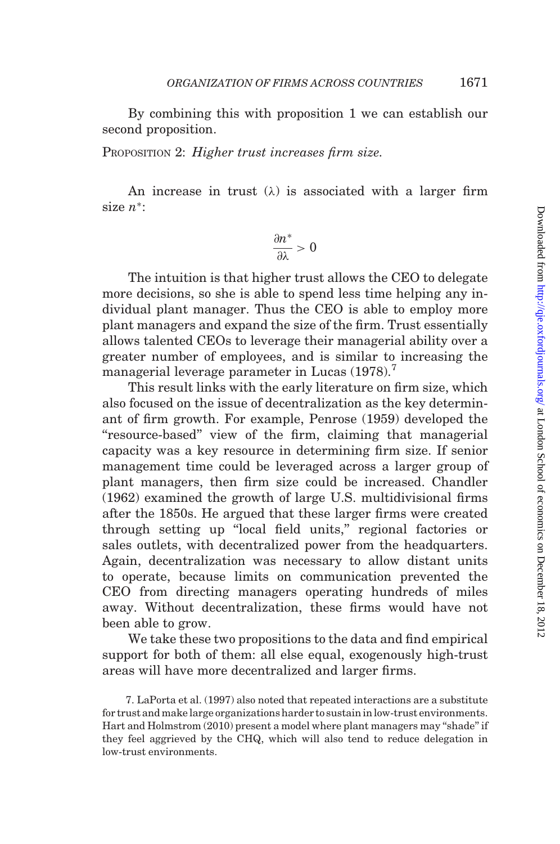By combining this with proposition 1 we can establish our second proposition.

PROPOSITION 2: Higher trust increases firm size.

An increase in trust  $(\lambda)$  is associated with a larger firm size  $n^*$ :

$$
\frac{\partial n^*}{\partial \lambda} > 0
$$

The intuition is that higher trust allows the CEO to delegate more decisions, so she is able to spend less time helping any individual plant manager. Thus the CEO is able to employ more plant managers and expand the size of the firm. Trust essentially allows talented CEOs to leverage their managerial ability over a greater number of employees, and is similar to increasing the managerial leverage parameter in [Lucas \(1978\)](#page-42-0).<sup>7</sup>

This result links with the early literature on firm size, which also focused on the issue of decentralization as the key determinant of firm growth. For example, [Penrose \(1959\)](#page-42-0) developed the "resource-based" view of the firm, claiming that managerial capacity was a key resource in determining firm size. If senior management time could be leveraged across a larger group of plant managers, then firm size could be increased. [Chandler](#page-41-0) [\(1962\)](#page-41-0) examined the growth of large U.S. multidivisional firms after the 1850s. He argued that these larger firms were created through setting up ''local field units,'' regional factories or sales outlets, with decentralized power from the headquarters. Again, decentralization was necessary to allow distant units to operate, because limits on communication prevented the CEO from directing managers operating hundreds of miles away. Without decentralization, these firms would have not been able to grow.

We take these two propositions to the data and find empirical support for both of them: all else equal, exogenously high-trust areas will have more decentralized and larger firms.

7. [LaPorta et al. \(1997\)](#page-42-0) also noted that repeated interactions are a substitute for trust and make large organizations harder to sustain in low-trust environments. [Hart and Holmstrom \(2010\)](#page-42-0) present a model where plant managers may ''shade'' if they feel aggrieved by the CHQ, which will also tend to reduce delegation in low-trust environments.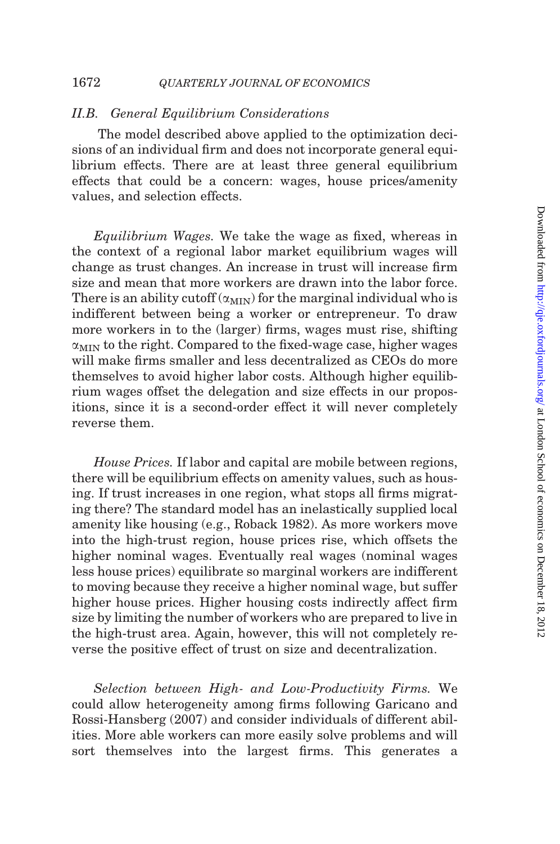## II.B. General Equilibrium Considerations

The model described above applied to the optimization decisions of an individual firm and does not incorporate general equilibrium effects. There are at least three general equilibrium effects that could be a concern: wages, house prices/amenity values, and selection effects.

Equilibrium Wages. We take the wage as fixed, whereas in the context of a regional labor market equilibrium wages will change as trust changes. An increase in trust will increase firm size and mean that more workers are drawn into the labor force. There is an ability cutoff  $(\alpha_{\text{MIN}})$  for the marginal individual who is indifferent between being a worker or entrepreneur. To draw more workers in to the (larger) firms, wages must rise, shifting  $\alpha_{\text{MIN}}$  to the right. Compared to the fixed-wage case, higher wages will make firms smaller and less decentralized as CEOs do more themselves to avoid higher labor costs. Although higher equilibrium wages offset the delegation and size effects in our propositions, since it is a second-order effect it will never completely reverse them.

House Prices. If labor and capital are mobile between regions, there will be equilibrium effects on amenity values, such as housing. If trust increases in one region, what stops all firms migrating there? The standard model has an inelastically supplied local amenity like housing (e.g., [Roback 1982\)](#page-42-0). As more workers move into the high-trust region, house prices rise, which offsets the higher nominal wages. Eventually real wages (nominal wages less house prices) equilibrate so marginal workers are indifferent to moving because they receive a higher nominal wage, but suffer higher house prices. Higher housing costs indirectly affect firm size by limiting the number of workers who are prepared to live in the high-trust area. Again, however, this will not completely reverse the positive effect of trust on size and decentralization.

Selection between High- and Low-Productivity Firms. We could allow heterogeneity among firms following [Garicano and](#page-41-0) [Rossi-Hansberg \(2007\)](#page-41-0) and consider individuals of different abilities. More able workers can more easily solve problems and will sort themselves into the largest firms. This generates a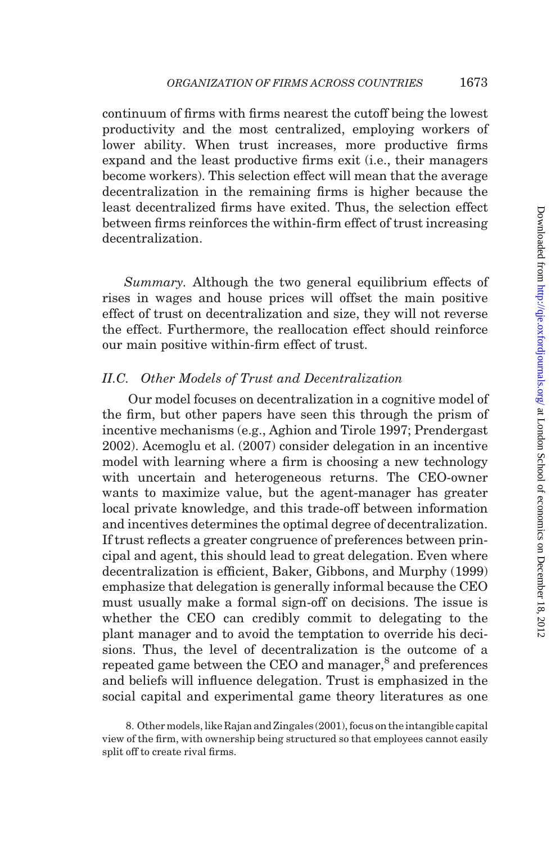continuum of firms with firms nearest the cutoff being the lowest productivity and the most centralized, employing workers of lower ability. When trust increases, more productive firms expand and the least productive firms exit (i.e., their managers become workers). This selection effect will mean that the average decentralization in the remaining firms is higher because the least decentralized firms have exited. Thus, the selection effect between firms reinforces the within-firm effect of trust increasing decentralization.

Summary. Although the two general equilibrium effects of rises in wages and house prices will offset the main positive effect of trust on decentralization and size, they will not reverse the effect. Furthermore, the reallocation effect should reinforce our main positive within-firm effect of trust.

## II.C. Other Models of Trust and Decentralization

Our model focuses on decentralization in a cognitive model of the firm, but other papers have seen this through the prism of incentive mechanisms (e.g., [Aghion and Tirole 1997;](#page-40-0) [Prendergast](#page-42-0) [2002\)](#page-42-0). [Acemoglu et al. \(2007\)](#page-40-0) consider delegation in an incentive model with learning where a firm is choosing a new technology with uncertain and heterogeneous returns. The CEO-owner wants to maximize value, but the agent-manager has greater local private knowledge, and this trade-off between information and incentives determines the optimal degree of decentralization. If trust reflects a greater congruence of preferences between principal and agent, this should lead to great delegation. Even where decentralization is efficient, [Baker, Gibbons, and Murphy \(1999\)](#page-40-0) emphasize that delegation is generally informal because the CEO must usually make a formal sign-off on decisions. The issue is whether the CEO can credibly commit to delegating to the plant manager and to avoid the temptation to override his decisions. Thus, the level of decentralization is the outcome of a repeated game between the CEO and manager,<sup>8</sup> and preferences and beliefs will influence delegation. Trust is emphasized in the social capital and experimental game theory literatures as one

<sup>8.</sup> Other models, like [Rajan and Zingales \(2001\)](#page-42-0), focus on the intangible capital view of the firm, with ownership being structured so that employees cannot easily split off to create rival firms.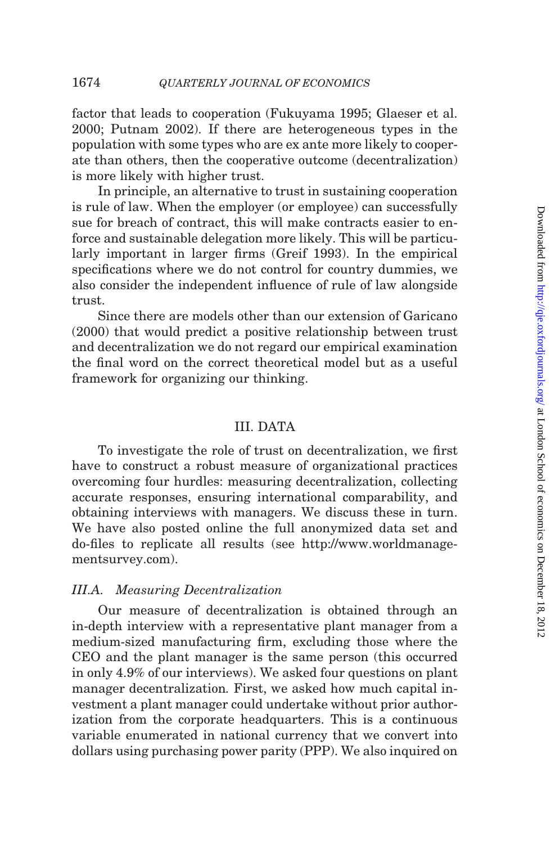factor that leads to cooperation ([Fukuyama 1995](#page-41-0); [Glaeser et al.](#page-41-0) [2000](#page-41-0); [Putnam 2002](#page-42-0)). If there are heterogeneous types in the population with some types who are ex ante more likely to cooperate than others, then the cooperative outcome (decentralization) is more likely with higher trust.

In principle, an alternative to trust in sustaining cooperation is rule of law. When the employer (or employee) can successfully sue for breach of contract, this will make contracts easier to enforce and sustainable delegation more likely. This will be particularly important in larger firms [\(Greif 1993](#page-41-0)). In the empirical specifications where we do not control for country dummies, we also consider the independent influence of rule of law alongside trust.

Since there are models other than our extension of [Garicano](#page-41-0) [\(2000\)](#page-41-0) that would predict a positive relationship between trust and decentralization we do not regard our empirical examination the final word on the correct theoretical model but as a useful framework for organizing our thinking.

## III. DATA

To investigate the role of trust on decentralization, we first have to construct a robust measure of organizational practices overcoming four hurdles: measuring decentralization, collecting accurate responses, ensuring international comparability, and obtaining interviews with managers. We discuss these in turn. We have also posted online the full anonymized data set and do-files to replicate all results (see [http://www.worldmanage](http://www.worldmanagementsurvey.com)[mentsurvey.com](http://www.worldmanagementsurvey.com)).

## III.A. Measuring Decentralization

Our measure of decentralization is obtained through an in-depth interview with a representative plant manager from a medium-sized manufacturing firm, excluding those where the CEO and the plant manager is the same person (this occurred in only 4.9% of our interviews). We asked four questions on plant manager decentralization. First, we asked how much capital investment a plant manager could undertake without prior authorization from the corporate headquarters. This is a continuous variable enumerated in national currency that we convert into dollars using purchasing power parity (PPP). We also inquired on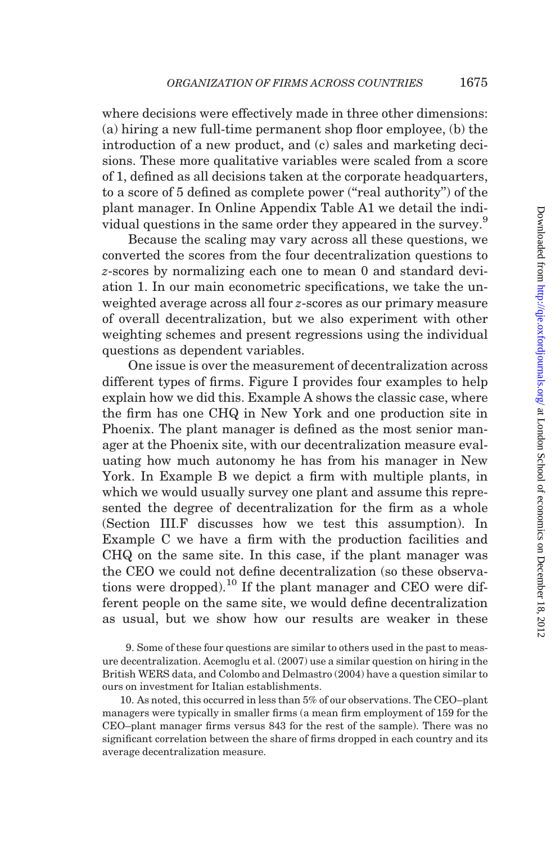where decisions were effectively made in three other dimensions: (a) hiring a new full-time permanent shop floor employee, (b) the introduction of a new product, and (c) sales and marketing decisions. These more qualitative variables were scaled from a score of 1, defined as all decisions taken at the corporate headquarters, to a score of 5 defined as complete power (''real authority'') of the plant manager. In [Online Appendix Table A1](http://hwmaint.qje.oxfordjournals.org/cgi/content/full/qjs029/DC1) we detail the individual questions in the same order they appeared in the survey.<sup>9</sup>

Because the scaling may vary across all these questions, we converted the scores from the four decentralization questions to z-scores by normalizing each one to mean 0 and standard deviation 1. In our main econometric specifications, we take the unweighted average across all four z-scores as our primary measure of overall decentralization, but we also experiment with other weighting schemes and present regressions using the individual questions as dependent variables.

One issue is over the measurement of decentralization across different types of firms. [Figure I](#page-13-0) provides four examples to help explain how we did this. Example A shows the classic case, where the firm has one CHQ in New York and one production site in Phoenix. The plant manager is defined as the most senior manager at the Phoenix site, with our decentralization measure evaluating how much autonomy he has from his manager in New York. In Example B we depict a firm with multiple plants, in which we would usually survey one plant and assume this represented the degree of decentralization for the firm as a whole (Section III.F discusses how we test this assumption). In Example C we have a firm with the production facilities and CHQ on the same site. In this case, if the plant manager was the CEO we could not define decentralization (so these observations were dropped).<sup>10</sup> If the plant manager and CEO were different people on the same site, we would define decentralization as usual, but we show how our results are weaker in these

9. Some of these four questions are similar to others used in the past to measure decentralization. [Acemoglu et al. \(2007\)](#page-40-0) use a similar question on hiring in the British WERS data, and [Colombo and Delmastro \(2004\)](#page-41-0) have a question similar to ours on investment for Italian establishments.

10. As noted, this occurred in less than 5% of our observations. The CEO–plant managers were typically in smaller firms (a mean firm employment of 159 for the CEO–plant manager firms versus 843 for the rest of the sample). There was no significant correlation between the share of firms dropped in each country and its average decentralization measure.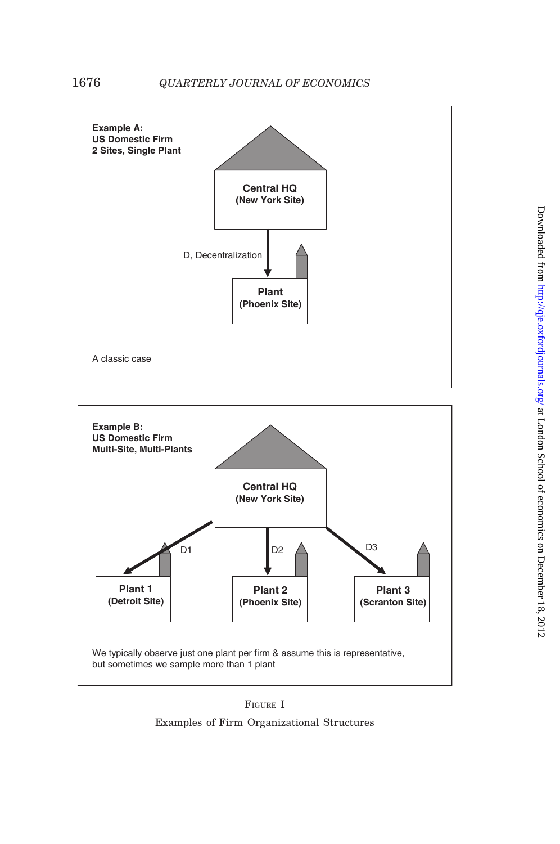<span id="page-13-0"></span>



FIGURE I Examples of Firm Organizational Structures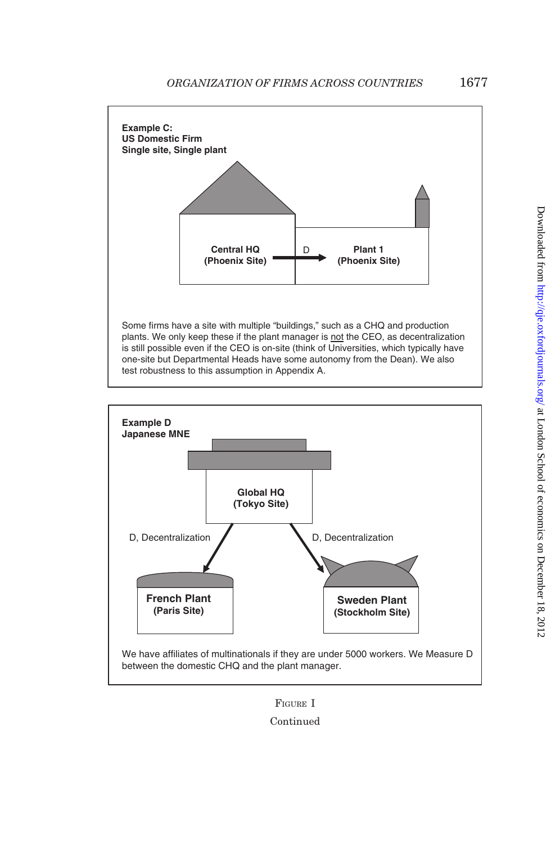

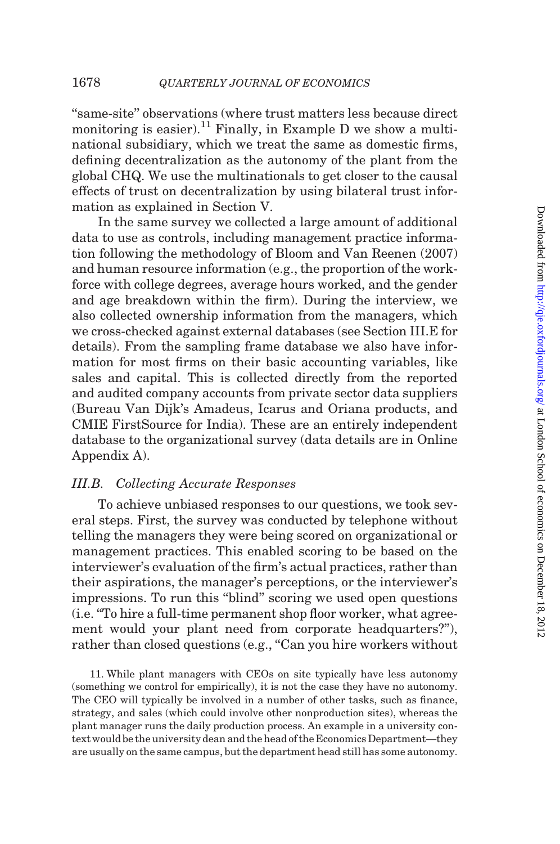''same-site'' observations (where trust matters less because direct monitoring is easier).<sup>11</sup> Finally, in Example D we show a multinational subsidiary, which we treat the same as domestic firms, defining decentralization as the autonomy of the plant from the global CHQ. We use the multinationals to get closer to the causal effects of trust on decentralization by using bilateral trust information as explained in Section V.

In the same survey we collected a large amount of additional data to use as controls, including management practice information following the methodology of [Bloom and Van Reenen \(2007\)](#page-40-0) and human resource information (e.g., the proportion of the workforce with college degrees, average hours worked, and the gender and age breakdown within the firm). During the interview, we also collected ownership information from the managers, which we cross-checked against external databases (see Section III.E for details). From the sampling frame database we also have information for most firms on their basic accounting variables, like sales and capital. This is collected directly from the reported and audited company accounts from private sector data suppliers (Bureau Van Dijk's Amadeus, Icarus and Oriana products, and CMIE FirstSource for India). These are an entirely independent database to the organizational survey (data details are in [Online](http://hwmaint.qje.oxfordjournals.org/cgi/content/full/qjs029/DC1) [Appendix A](http://hwmaint.qje.oxfordjournals.org/cgi/content/full/qjs029/DC1)).

## III.B. Collecting Accurate Responses

To achieve unbiased responses to our questions, we took several steps. First, the survey was conducted by telephone without telling the managers they were being scored on organizational or management practices. This enabled scoring to be based on the interviewer's evaluation of the firm's actual practices, rather than their aspirations, the manager's perceptions, or the interviewer's impressions. To run this ''blind'' scoring we used open questions (i.e. ''To hire a full-time permanent shop floor worker, what agreement would your plant need from corporate headquarters?''), rather than closed questions (e.g., "Can you hire workers without

11. While plant managers with CEOs on site typically have less autonomy (something we control for empirically), it is not the case they have no autonomy. The CEO will typically be involved in a number of other tasks, such as finance, strategy, and sales (which could involve other nonproduction sites), whereas the plant manager runs the daily production process. An example in a university context would be the university dean and the head of the Economics Department—they are usually on the same campus, but the department head still has some autonomy.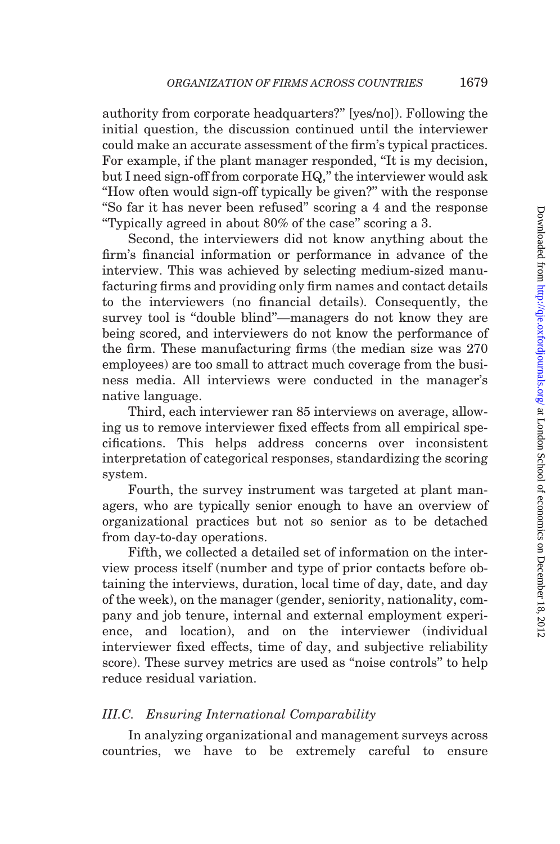authority from corporate headquarters?'' [yes/no]). Following the initial question, the discussion continued until the interviewer could make an accurate assessment of the firm's typical practices. For example, if the plant manager responded, "It is my decision, but I need sign-off from corporate HQ,'' the interviewer would ask ''How often would sign-off typically be given?'' with the response ''So far it has never been refused'' scoring a 4 and the response ''Typically agreed in about 80% of the case'' scoring a 3.

Second, the interviewers did not know anything about the firm's financial information or performance in advance of the interview. This was achieved by selecting medium-sized manufacturing firms and providing only firm names and contact details to the interviewers (no financial details). Consequently, the survey tool is "double blind"—managers do not know they are being scored, and interviewers do not know the performance of the firm. These manufacturing firms (the median size was 270 employees) are too small to attract much coverage from the business media. All interviews were conducted in the manager's native language.

Third, each interviewer ran 85 interviews on average, allowing us to remove interviewer fixed effects from all empirical specifications. This helps address concerns over inconsistent interpretation of categorical responses, standardizing the scoring system.

Fourth, the survey instrument was targeted at plant managers, who are typically senior enough to have an overview of organizational practices but not so senior as to be detached from day-to-day operations.

Fifth, we collected a detailed set of information on the interview process itself (number and type of prior contacts before obtaining the interviews, duration, local time of day, date, and day of the week), on the manager (gender, seniority, nationality, company and job tenure, internal and external employment experience, and location), and on the interviewer (individual interviewer fixed effects, time of day, and subjective reliability score). These survey metrics are used as ''noise controls'' to help reduce residual variation.

# III.C. Ensuring International Comparability

In analyzing organizational and management surveys across countries, we have to be extremely careful to ensure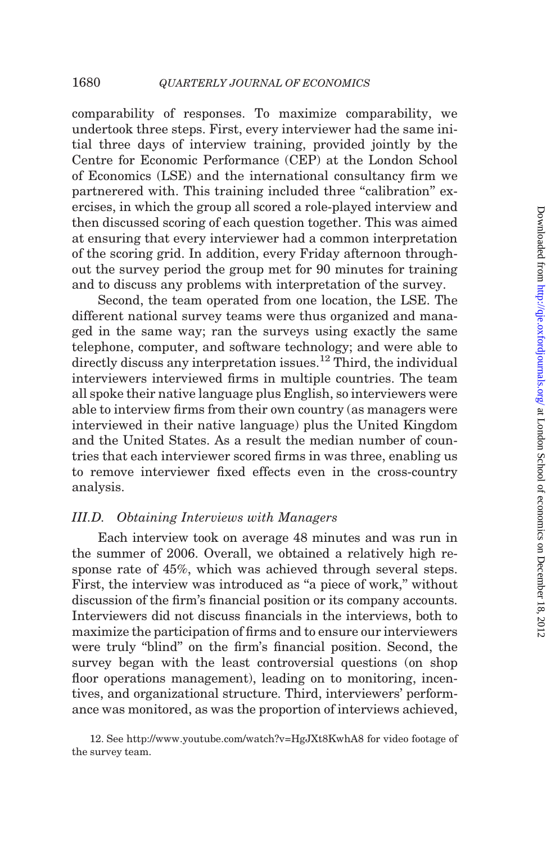comparability of responses. To maximize comparability, we undertook three steps. First, every interviewer had the same initial three days of interview training, provided jointly by the Centre for Economic Performance (CEP) at the London School of Economics (LSE) and the international consultancy firm we partnerered with. This training included three "calibration" exercises, in which the group all scored a role-played interview and then discussed scoring of each question together. This was aimed at ensuring that every interviewer had a common interpretation of the scoring grid. In addition, every Friday afternoon throughout the survey period the group met for 90 minutes for training and to discuss any problems with interpretation of the survey.

Second, the team operated from one location, the LSE. The different national survey teams were thus organized and managed in the same way; ran the surveys using exactly the same telephone, computer, and software technology; and were able to directly discuss any interpretation issues.<sup>12</sup> Third, the individual interviewers interviewed firms in multiple countries. The team all spoke their native language plus English, so interviewers were able to interview firms from their own country (as managers were interviewed in their native language) plus the United Kingdom and the United States. As a result the median number of countries that each interviewer scored firms in was three, enabling us to remove interviewer fixed effects even in the cross-country analysis.

## III.D. Obtaining Interviews with Managers

Each interview took on average 48 minutes and was run in the summer of 2006. Overall, we obtained a relatively high response rate of 45%, which was achieved through several steps. First, the interview was introduced as "a piece of work," without discussion of the firm's financial position or its company accounts. Interviewers did not discuss financials in the interviews, both to maximize the participation of firms and to ensure our interviewers were truly "blind" on the firm's financial position. Second, the survey began with the least controversial questions (on shop floor operations management), leading on to monitoring, incentives, and organizational structure. Third, interviewers' performance was monitored, as was the proportion of interviews achieved,

12. See<http://www.youtube.com/watch?v=HgJXt8KwhA8> for video footage of the survey team.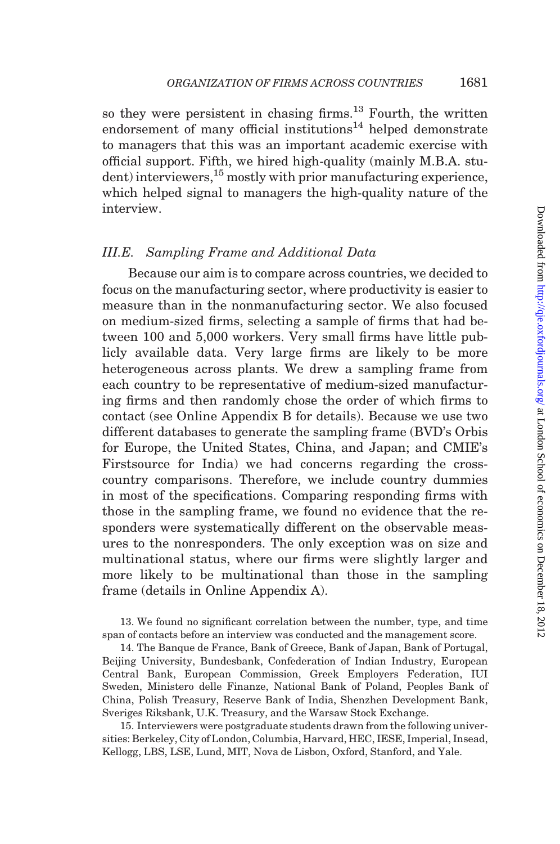so they were persistent in chasing firms.<sup>13</sup> Fourth, the written endorsement of many official institutions<sup>14</sup> helped demonstrate to managers that this was an important academic exercise with official support. Fifth, we hired high-quality (mainly M.B.A. student) interviewers, <sup>15</sup> mostly with prior manufacturing experience, which helped signal to managers the high-quality nature of the interview.

## III.E. Sampling Frame and Additional Data

Because our aim is to compare across countries, we decided to focus on the manufacturing sector, where productivity is easier to measure than in the nonmanufacturing sector. We also focused on medium-sized firms, selecting a sample of firms that had between 100 and 5,000 workers. Very small firms have little publicly available data. Very large firms are likely to be more heterogeneous across plants. We drew a sampling frame from each country to be representative of medium-sized manufacturing firms and then randomly chose the order of which firms to contact (see [Online Appendix B](http://hwmaint.qje.oxfordjournals.org/cgi/content/full/qjs029/DC1) for details). Because we use two different databases to generate the sampling frame (BVD's Orbis for Europe, the United States, China, and Japan; and CMIE's Firstsource for India) we had concerns regarding the crosscountry comparisons. Therefore, we include country dummies in most of the specifications. Comparing responding firms with those in the sampling frame, we found no evidence that the responders were systematically different on the observable measures to the nonresponders. The only exception was on size and multinational status, where our firms were slightly larger and more likely to be multinational than those in the sampling frame (details in [Online Appendix A](http://hwmaint.qje.oxfordjournals.org/cgi/content/full/qjs029/DC1)).

13. We found no significant correlation between the number, type, and time span of contacts before an interview was conducted and the management score.

14. The Banque de France, Bank of Greece, Bank of Japan, Bank of Portugal, Beijing University, Bundesbank, Confederation of Indian Industry, European Central Bank, European Commission, Greek Employers Federation, IUI Sweden, Ministero delle Finanze, National Bank of Poland, Peoples Bank of China, Polish Treasury, Reserve Bank of India, Shenzhen Development Bank, Sveriges Riksbank, U.K. Treasury, and the Warsaw Stock Exchange.

15. Interviewers were postgraduate students drawn from the following universities: Berkeley, City of London, Columbia, Harvard, HEC, IESE, Imperial, Insead, Kellogg, LBS, LSE, Lund, MIT, Nova de Lisbon, Oxford, Stanford, and Yale.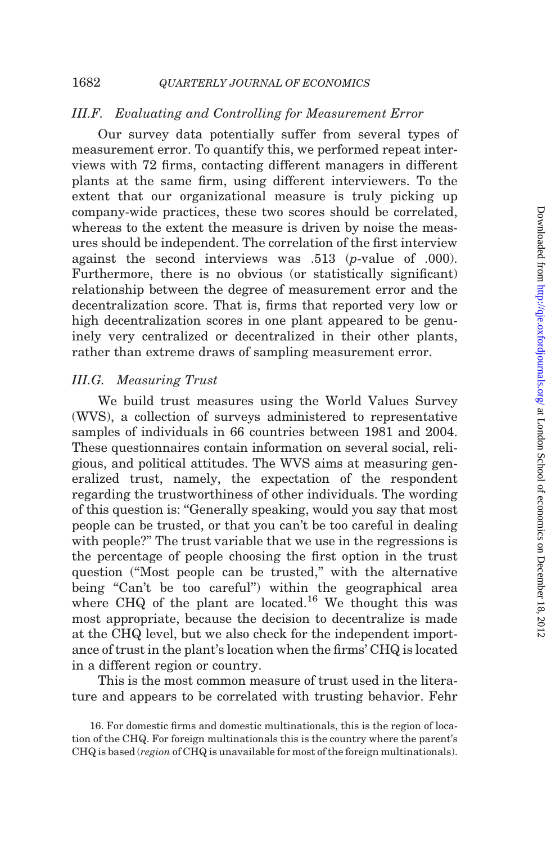## III.F. Evaluating and Controlling for Measurement Error

Our survey data potentially suffer from several types of measurement error. To quantify this, we performed repeat interviews with 72 firms, contacting different managers in different plants at the same firm, using different interviewers. To the extent that our organizational measure is truly picking up company-wide practices, these two scores should be correlated, whereas to the extent the measure is driven by noise the measures should be independent. The correlation of the first interview against the second interviews was .513 (p-value of .000). Furthermore, there is no obvious (or statistically significant) relationship between the degree of measurement error and the decentralization score. That is, firms that reported very low or high decentralization scores in one plant appeared to be genuinely very centralized or decentralized in their other plants, rather than extreme draws of sampling measurement error.

## III.G. Measuring Trust

We build trust measures using the World Values Survey (WVS), a collection of surveys administered to representative samples of individuals in 66 countries between 1981 and 2004. These questionnaires contain information on several social, religious, and political attitudes. The WVS aims at measuring generalized trust, namely, the expectation of the respondent regarding the trustworthiness of other individuals. The wording of this question is: ''Generally speaking, would you say that most people can be trusted, or that you can't be too careful in dealing with people?'' The trust variable that we use in the regressions is the percentage of people choosing the first option in the trust question (''Most people can be trusted,'' with the alternative being "Can't be too careful") within the geographical area where CHQ of the plant are located.<sup>16</sup> We thought this was most appropriate, because the decision to decentralize is made at the CHQ level, but we also check for the independent importance of trust in the plant's location when the firms' CHQ is located in a different region or country.

This is the most common measure of trust used in the literature and appears to be correlated with trusting behavior. [Fehr](#page-41-0)

<sup>16.</sup> For domestic firms and domestic multinationals, this is the region of location of the CHQ. For foreign multinationals this is the country where the parent's CHQ is based (region of CHQ is unavailable for most of the foreign multinationals).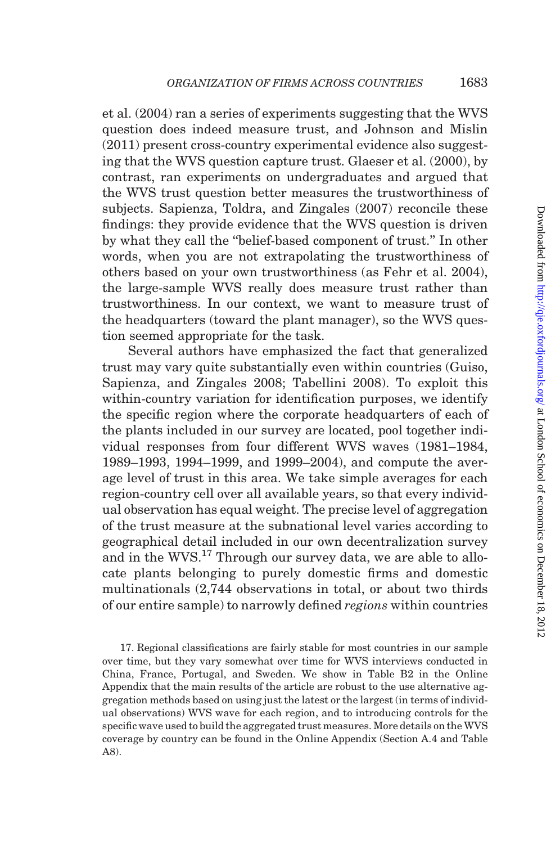[et al. \(2004\)](#page-41-0) ran a series of experiments suggesting that the WVS question does indeed measure trust, and [Johnson and Mislin](#page-42-0) [\(2011\)](#page-42-0) present cross-country experimental evidence also suggesting that the WVS question capture trust. [Glaeser et al. \(2000\)](#page-41-0), by contrast, ran experiments on undergraduates and argued that the WVS trust question better measures the trustworthiness of subjects. [Sapienza, Toldra, and Zingales \(2007\)](#page-42-0) reconcile these findings: they provide evidence that the WVS question is driven by what they call the ''belief-based component of trust.'' In other words, when you are not extrapolating the trustworthiness of others based on your own trustworthiness (as [Fehr et al. 2004](#page-41-0)), the large-sample WVS really does measure trust rather than trustworthiness. In our context, we want to measure trust of the headquarters (toward the plant manager), so the WVS question seemed appropriate for the task.

Several authors have emphasized the fact that generalized trust may vary quite substantially even within countries [\(Guiso,](#page-41-0) [Sapienza, and Zingales 2008](#page-41-0); [Tabellini 2008\)](#page-42-0). To exploit this within-country variation for identification purposes, we identify the specific region where the corporate headquarters of each of the plants included in our survey are located, pool together individual responses from four different WVS waves (1981–1984, 1989–1993, 1994–1999, and 1999–2004), and compute the average level of trust in this area. We take simple averages for each region-country cell over all available years, so that every individual observation has equal weight. The precise level of aggregation of the trust measure at the subnational level varies according to geographical detail included in our own decentralization survey and in the WVS. $^{17}$  Through our survey data, we are able to allocate plants belonging to purely domestic firms and domestic multinationals (2,744 observations in total, or about two thirds of our entire sample) to narrowly defined regions within countries

17. Regional classifications are fairly stable for most countries in our sample over time, but they vary somewhat over time for WVS interviews conducted in China, France, Portugal, and Sweden. We show in Table B2 in the Online Appendix that the main results of the article are robust to the use alternative aggregation methods based on using just the latest or the largest (in terms of individual observations) WVS wave for each region, and to introducing controls for the specific wave used to build the aggregated trust measures. More details on the WVS coverage by country can be found in the Online Appendix (Section A.4 and Table A8).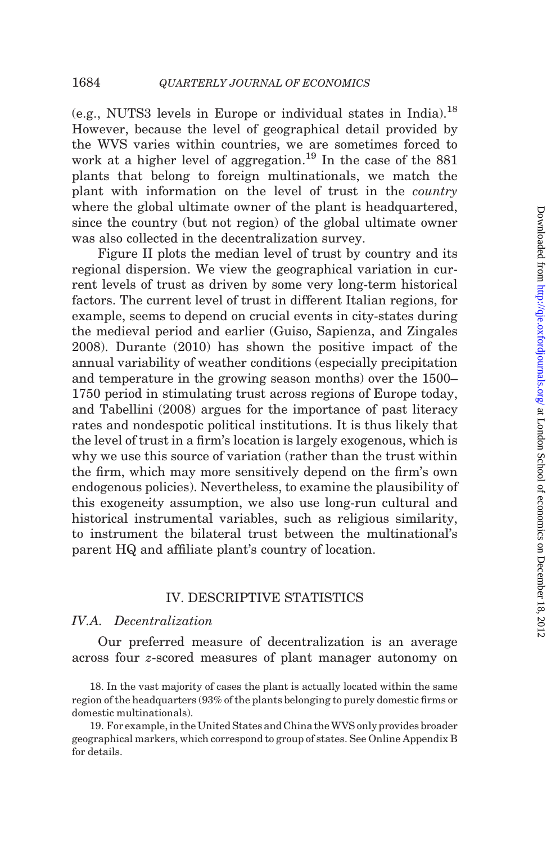(e.g., NUTS3 levels in Europe or individual states in India).<sup>18</sup> However, because the level of geographical detail provided by the WVS varies within countries, we are sometimes forced to work at a higher level of aggregation.<sup>19</sup> In the case of the 881 plants that belong to foreign multinationals, we match the plant with information on the level of trust in the country where the global ultimate owner of the plant is headquartered, since the country (but not region) of the global ultimate owner was also collected in the decentralization survey.

[Figure II](#page-22-0) plots the median level of trust by country and its regional dispersion. We view the geographical variation in current levels of trust as driven by some very long-term historical factors. The current level of trust in different Italian regions, for example, seems to depend on crucial events in city-states during the medieval period and earlier ([Guiso, Sapienza, and Zingales](#page-41-0) [2008](#page-41-0)). [Durante \(2010\)](#page-41-0) has shown the positive impact of the annual variability of weather conditions (especially precipitation and temperature in the growing season months) over the 1500– 1750 period in stimulating trust across regions of Europe today, and [Tabellini \(2008\)](#page-42-0) argues for the importance of past literacy rates and nondespotic political institutions. It is thus likely that the level of trust in a firm's location is largely exogenous, which is why we use this source of variation (rather than the trust within the firm, which may more sensitively depend on the firm's own endogenous policies). Nevertheless, to examine the plausibility of this exogeneity assumption, we also use long-run cultural and historical instrumental variables, such as religious similarity, to instrument the bilateral trust between the multinational's parent HQ and affiliate plant's country of location.

## IV. DESCRIPTIVE STATISTICS

#### IV.A. Decentralization

Our preferred measure of decentralization is an average across four z-scored measures of plant manager autonomy on

19. For example, in the United States and China the WVS only provides broader geographical markers, which correspond to group of states. See Online Appendix B for details.

<sup>18.</sup> In the vast majority of cases the plant is actually located within the same region of the headquarters (93% of the plants belonging to purely domestic firms or domestic multinationals).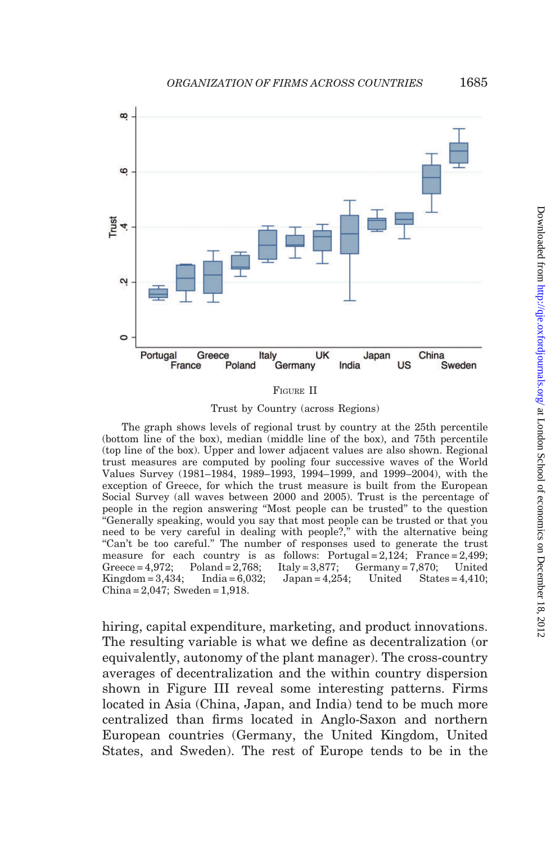<span id="page-22-0"></span>

| ' الہ ،<br>Ī |  |
|--------------|--|
|--------------|--|

Trust by Country (across Regions)

The graph shows levels of regional trust by country at the 25th percentile (bottom line of the box), median (middle line of the box), and 75th percentile (top line of the box). Upper and lower adjacent values are also shown. Regional trust measures are computed by pooling four successive waves of the World Values Survey (1981–1984, 1989–1993, 1994–1999, and 1999–2004), with the exception of Greece, for which the trust measure is built from the European Social Survey (all waves between 2000 and 2005). Trust is the percentage of people in the region answering ''Most people can be trusted'' to the question ''Generally speaking, would you say that most people can be trusted or that you need to be very careful in dealing with people?," with the alternative being "Can't be too careful." The number of responses used to generate the trust measure for each country is as follows: Portugal = 2,124; France = 2,499; Greece = 4,972; Poland = 2,768; Italy = 3,877; Germany = 7,870; United Kingdom =  $3,434$ ; India =  $6,032$ ; Japan =  $4,254$ ; United States =  $4,410$ ;  $China = 2,047$ ; Sweden = 1,918.

hiring, capital expenditure, marketing, and product innovations. The resulting variable is what we define as decentralization (or equivalently, autonomy of the plant manager). The cross-country averages of decentralization and the within country dispersion shown in [Figure III](#page-23-0) reveal some interesting patterns. Firms located in Asia (China, Japan, and India) tend to be much more centralized than firms located in Anglo-Saxon and northern European countries (Germany, the United Kingdom, United States, and Sweden). The rest of Europe tends to be in the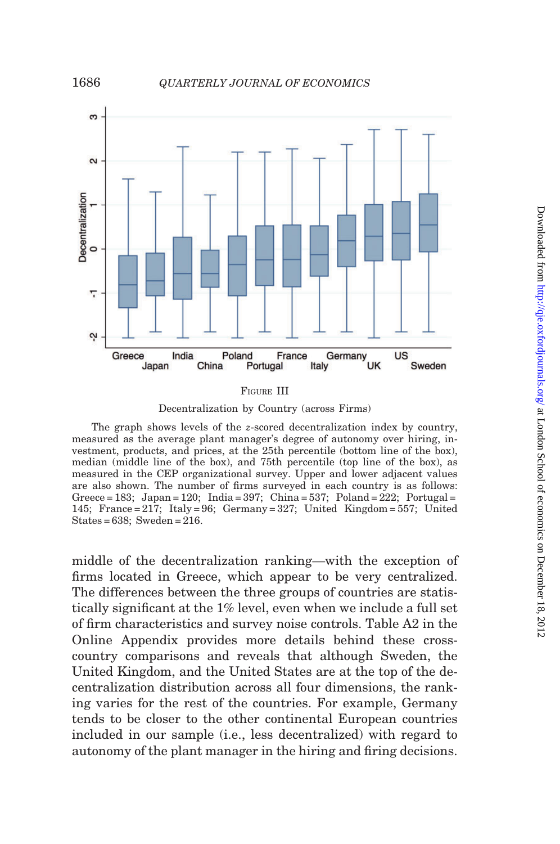

Decentralization by Country (across Firms)

The graph shows levels of the z-scored decentralization index by country, measured as the average plant manager's degree of autonomy over hiring, investment, products, and prices, at the 25th percentile (bottom line of the box), median (middle line of the box), and 75th percentile (top line of the box), as measured in the CEP organizational survey. Upper and lower adjacent values are also shown. The number of firms surveyed in each country is as follows: Greece = 183; Japan = 120; India = 397; China = 537; Poland = 222; Portugal = 145; France = 217; Italy = 96; Germany = 327; United Kingdom = 557; United States = 638; Sweden = 216.

middle of the decentralization ranking—with the exception of firms located in Greece, which appear to be very centralized. The differences between the three groups of countries are statistically significant at the 1% level, even when we include a full set of firm characteristics and survey noise controls. [Table A2](http://hwmaint.qje.oxfordjournals.org/cgi/content/full/qjs029/DC1) in the [Online Appendix](http://hwmaint.qje.oxfordjournals.org/cgi/content/full/qjs029/DC1) provides more details behind these crosscountry comparisons and reveals that although Sweden, the United Kingdom, and the United States are at the top of the decentralization distribution across all four dimensions, the ranking varies for the rest of the countries. For example, Germany tends to be closer to the other continental European countries included in our sample (i.e., less decentralized) with regard to autonomy of the plant manager in the hiring and firing decisions.

<span id="page-23-0"></span>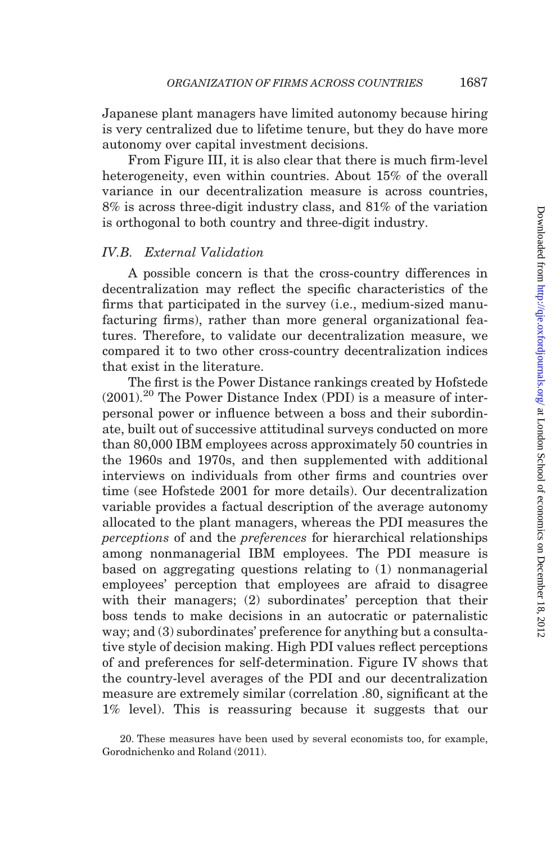Japanese plant managers have limited autonomy because hiring is very centralized due to lifetime tenure, but they do have more autonomy over capital investment decisions.

From [Figure III,](#page-23-0) it is also clear that there is much firm-level heterogeneity, even within countries. About 15% of the overall variance in our decentralization measure is across countries, 8% is across three-digit industry class, and 81% of the variation is orthogonal to both country and three-digit industry.

## IV.B. External Validation

A possible concern is that the cross-country differences in decentralization may reflect the specific characteristics of the firms that participated in the survey (i.e., medium-sized manufacturing firms), rather than more general organizational features. Therefore, to validate our decentralization measure, we compared it to two other cross-country decentralization indices that exist in the literature.

The first is the Power Distance rankings created by [Hofstede](#page-42-0)  $(2001).<sup>20</sup>$  $(2001).<sup>20</sup>$  The Power Distance Index (PDI) is a measure of interpersonal power or influence between a boss and their subordinate, built out of successive attitudinal surveys conducted on more than 80,000 IBM employees across approximately 50 countries in the 1960s and 1970s, and then supplemented with additional interviews on individuals from other firms and countries over time (see [Hofstede 2001](#page-42-0) for more details). Our decentralization variable provides a factual description of the average autonomy allocated to the plant managers, whereas the PDI measures the perceptions of and the preferences for hierarchical relationships among nonmanagerial IBM employees. The PDI measure is based on aggregating questions relating to (1) nonmanagerial employees' perception that employees are afraid to disagree with their managers; (2) subordinates' perception that their boss tends to make decisions in an autocratic or paternalistic way; and (3) subordinates' preference for anything but a consultative style of decision making. High PDI values reflect perceptions of and preferences for self-determination. [Figure IV](#page-25-0) shows that the country-level averages of the PDI and our decentralization measure are extremely similar (correlation .80, significant at the 1% level). This is reassuring because it suggests that our

<sup>20.</sup> These measures have been used by several economists too, for example, [Gorodnichenko and Roland \(2011\)](#page-41-0).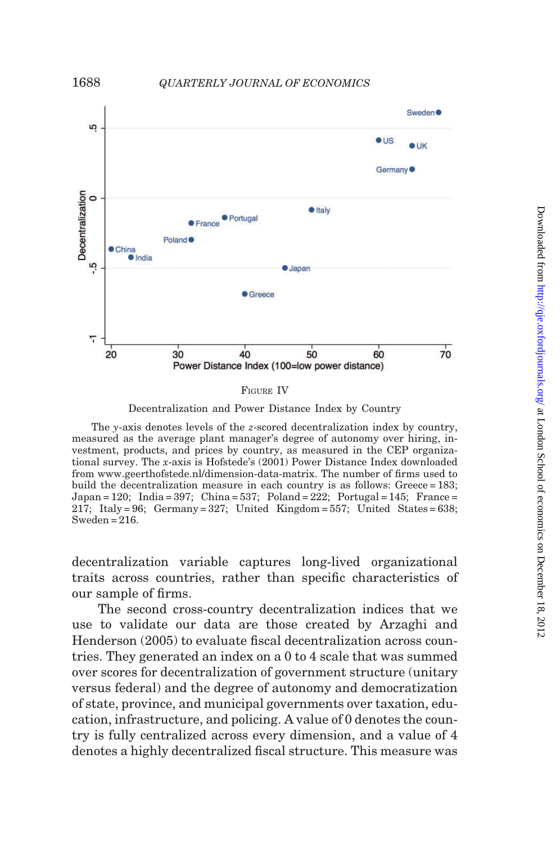## <span id="page-25-0"></span>1688 QUARTERLY JOURNAL OF ECONOMICS



| ±i iRF. |  |
|---------|--|
|---------|--|

Decentralization and Power Distance Index by Country

The y-axis denotes levels of the z-scored decentralization index by country, measured as the average plant manager's degree of autonomy over hiring, investment, products, and prices by country, as measured in the CEP organizational survey. The x-axis is Hofstede's (2001) Power Distance Index downloaded from<www.geerthofstede.nl/dimension-data-matrix>. The number of firms used to build the decentralization measure in each country is as follows: Greece = 183;  $Japan = 120; India = 397; China = 537; Poland = 222; Portugal = 145; France =$ 217; Italy = 96; Germany = 327; United Kingdom = 557; United States = 638; Sweden  $= 216$ .

decentralization variable captures long-lived organizational traits across countries, rather than specific characteristics of our sample of firms.

The second cross-country decentralization indices that we use to validate our data are those created by [Arzaghi and](#page-40-0) [Henderson \(2005\)](#page-40-0) to evaluate fiscal decentralization across countries. They generated an index on a 0 to 4 scale that was summed over scores for decentralization of government structure (unitary versus federal) and the degree of autonomy and democratization of state, province, and municipal governments over taxation, education, infrastructure, and policing. A value of 0 denotes the country is fully centralized across every dimension, and a value of 4 denotes a highly decentralized fiscal structure. This measure was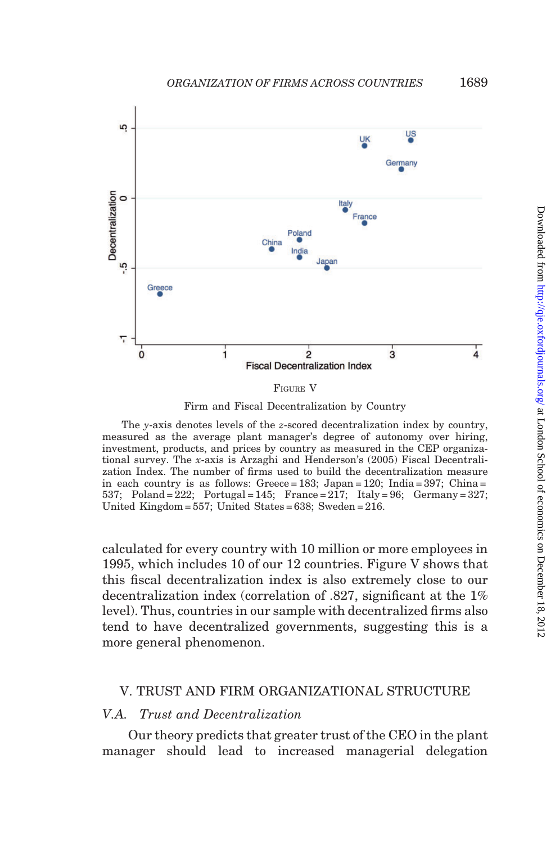

Firm and Fiscal Decentralization by Country

The y-axis denotes levels of the z-scored decentralization index by country, measured as the average plant manager's degree of autonomy over hiring, investment, products, and prices by country as measured in the CEP organizational survey. The x-axis is [Arzaghi and Henderson's \(2005\)](#page-40-0) Fiscal Decentralization Index. The number of firms used to build the decentralization measure in each country is as follows: Greece =  $183$ ; Japan =  $120$ ; India =  $397$ ; China = 537; Poland =  $222$ ; Portugal = 145; France =  $217$ ; Italy = 96; Germany = 327; United Kingdom = 557; United States = 638; Sweden = 216.

calculated for every country with 10 million or more employees in 1995, which includes 10 of our 12 countries. Figure V shows that this fiscal decentralization index is also extremely close to our decentralization index (correlation of .827, significant at the 1% level). Thus, countries in our sample with decentralized firms also tend to have decentralized governments, suggesting this is a more general phenomenon.

## V. TRUST AND FIRM ORGANIZATIONAL STRUCTURE

## V.A. Trust and Decentralization

Our theory predicts that greater trust of the CEO in the plant manager should lead to increased managerial delegation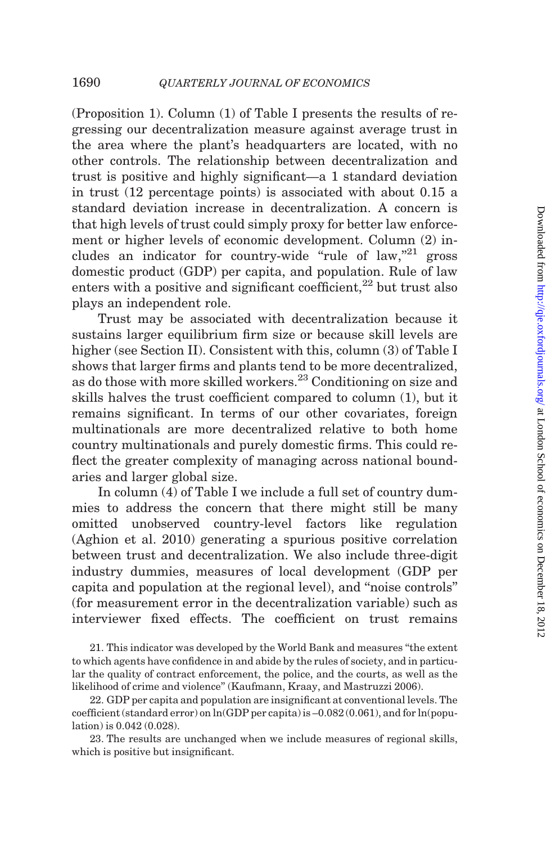(Proposition 1). Column (1) of [Table I](#page-28-0) presents the results of regressing our decentralization measure against average trust in the area where the plant's headquarters are located, with no other controls. The relationship between decentralization and trust is positive and highly significant—a 1 standard deviation in trust (12 percentage points) is associated with about 0.15 a standard deviation increase in decentralization. A concern is that high levels of trust could simply proxy for better law enforcement or higher levels of economic development. Column (2) includes an indicator for country-wide "rule of law,"<sup>21</sup> gross domestic product (GDP) per capita, and population. Rule of law enters with a positive and significant coefficient,  $^{22}$  but trust also plays an independent role.

Trust may be associated with decentralization because it sustains larger equilibrium firm size or because skill levels are higher (see Section II). Consistent with this, column (3) of [Table I](#page-28-0) shows that larger firms and plants tend to be more decentralized, as do those with more skilled workers.<sup>23</sup> Conditioning on size and skills halves the trust coefficient compared to column (1), but it remains significant. In terms of our other covariates, foreign multinationals are more decentralized relative to both home country multinationals and purely domestic firms. This could reflect the greater complexity of managing across national boundaries and larger global size.

In column (4) of [Table I](#page-28-0) we include a full set of country dummies to address the concern that there might still be many omitted unobserved country-level factors like regulation ([Aghion et al. 2010\)](#page-40-0) generating a spurious positive correlation between trust and decentralization. We also include three-digit industry dummies, measures of local development (GDP per capita and population at the regional level), and ''noise controls'' (for measurement error in the decentralization variable) such as interviewer fixed effects. The coefficient on trust remains

21. This indicator was developed by the World Bank and measures ''the extent to which agents have confidence in and abide by the rules of society, and in particular the quality of contract enforcement, the police, and the courts, as well as the likelihood of crime and violence'' ([Kaufmann, Kraay, and Mastruzzi 2006](#page-42-0)).

22. GDP per capita and population are insignificant at conventional levels. The coefficient (standard error) on ln(GDP per capita) is –0.082 (0.061), and for ln(population) is 0.042 (0.028).

23. The results are unchanged when we include measures of regional skills, which is positive but insignificant.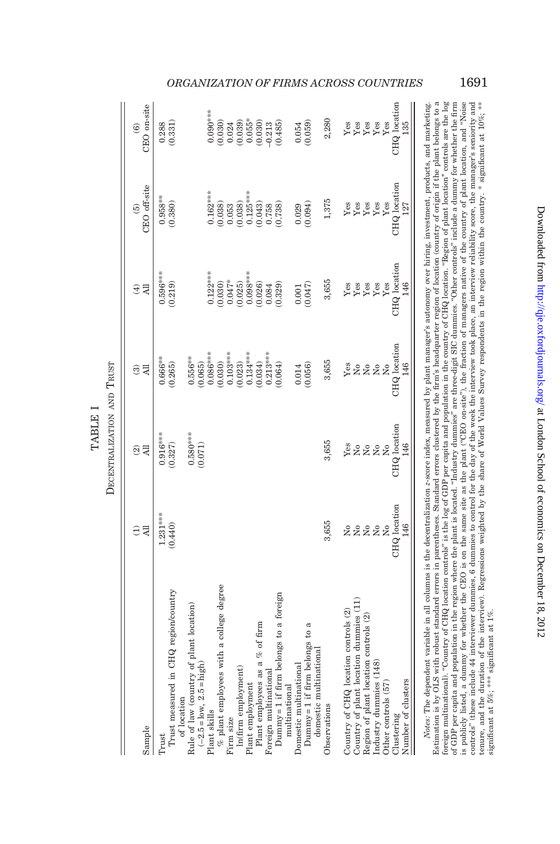<span id="page-28-0"></span>

| (0.327)<br>$\widehat{\mathbb{C}}$<br>$1.231***$<br>(0.440)<br>$\overline{\rm Al}$<br>а<br>$%$ plant employees with a college degree<br>Trust measured in CHQ region/country<br>Rule of law (country of plant location)<br>$(-2.5 = 1ow, 2.5 = high)$<br>of location<br>Plant skills<br>Firm size<br>Sample<br>Trust | $0.916***$<br>$0.580***$<br>(0.071) | $0.666***$<br>$\widehat{\mathcal{C}}$<br>ER | $\overline{a}$<br>$\widehat{E}$                             | CEO off-site<br>$\tilde{6}$                                                 | CEO on-site<br>$\widehat{\mathbf{6}}$         |
|---------------------------------------------------------------------------------------------------------------------------------------------------------------------------------------------------------------------------------------------------------------------------------------------------------------------|-------------------------------------|---------------------------------------------|-------------------------------------------------------------|-----------------------------------------------------------------------------|-----------------------------------------------|
|                                                                                                                                                                                                                                                                                                                     |                                     |                                             |                                                             |                                                                             |                                               |
|                                                                                                                                                                                                                                                                                                                     |                                     | (0.265)                                     | $0.596***$<br>(0.219)                                       | $0.958***$<br>(0.380)                                                       | (0.331)<br>0.288                              |
|                                                                                                                                                                                                                                                                                                                     |                                     | $0.556***$<br>(0.065)                       |                                                             |                                                                             |                                               |
|                                                                                                                                                                                                                                                                                                                     |                                     | $0.086***$<br>(0.030)                       | $0.122***$<br>(0.030)                                       | $0.162***$<br>(0.038)                                                       | $0.090***$<br>(0.030)                         |
|                                                                                                                                                                                                                                                                                                                     |                                     | $0.103***$                                  | $0.047*$                                                    | 0.053                                                                       | 0.024                                         |
| In(firm employment)                                                                                                                                                                                                                                                                                                 |                                     | (0.023)                                     | (0.025)                                                     | (0.038)                                                                     | (0.039)                                       |
| Plant employment                                                                                                                                                                                                                                                                                                    |                                     | $0.134***$                                  | $0.098***$                                                  | $0.125***$                                                                  | $0.055*$                                      |
| Plant employees as a % of firm                                                                                                                                                                                                                                                                                      |                                     | (0.034)                                     | (0.026)                                                     | (0.043)                                                                     | $(0.030)$<br>$-0.213$                         |
| Foreign multinational                                                                                                                                                                                                                                                                                               |                                     | $0.213***$                                  | 0.084                                                       | 0.758                                                                       |                                               |
| Dummy = 1 if firm belongs to a foreign<br>multinational                                                                                                                                                                                                                                                             |                                     | (0.064)                                     | (0.329)                                                     | (0.738)                                                                     | (0.485)                                       |
| Domestic multinational                                                                                                                                                                                                                                                                                              |                                     | 0.014                                       | 0.001                                                       | 0.029                                                                       | 0.054                                         |
| ದ<br>Dummy = $1$ if firm belongs to<br>domestic multinational                                                                                                                                                                                                                                                       |                                     | (0.056)                                     | (0.047)                                                     | (0.094)                                                                     | (0.059)                                       |
| 3,655<br>Observations                                                                                                                                                                                                                                                                                               | 3,655                               | 3,655                                       | 3,655                                                       | 1,375                                                                       | 2,280                                         |
| Country of CHQ location controls (2)                                                                                                                                                                                                                                                                                | Yes                                 | $Y$ es                                      | $Y$ es                                                      | $Y$ es                                                                      | $Y$ es                                        |
| Country of plant location dummies (11)                                                                                                                                                                                                                                                                              |                                     |                                             |                                                             |                                                                             |                                               |
| 22g<br>2222<br>Region of plant location controls (2)                                                                                                                                                                                                                                                                |                                     | 22g                                         | $\begin{array}{c}\nY \text{es} \\ Y \text{es}\n\end{array}$ | $\begin{array}{c} \mathtt{Yes} \\ \mathtt{Yes} \\ \mathtt{Yes} \end{array}$ | $_{\rm Yes}^{\rm gas}$ $_{\rm Yes}^{\rm gas}$ |
| Industry dummies (148)                                                                                                                                                                                                                                                                                              |                                     |                                             |                                                             |                                                                             |                                               |
| $\tilde{\mathbf{X}}$<br>$\rm \stackrel{\circ}{Z}$<br>Other controls (57)                                                                                                                                                                                                                                            |                                     | $\tilde{\mathbf{X}}$                        | ${\rm Yes}$                                                 | $\mathbf{Yes}$                                                              | ${\rm Yes}$                                   |
| CHQ location<br>Clustering                                                                                                                                                                                                                                                                                          | CHQ location                        | CHQ location                                | CHQ location                                                | CHQ location                                                                | CHQ location                                  |
| 146<br>Number of clusters                                                                                                                                                                                                                                                                                           | 146                                 | 146                                         | 146                                                         | 127                                                                         | 135                                           |

TABLE I DECENTRALIZATION AND TRUST

DECENTRALIZATION AND TRUST TABLE I

Estimation is by OLS with robust standard errors in parentheses. Standard errors clustered by the firm's headquarter region of location (country of origin if the plant belongs to a of GDP per capita and population in the region where the plant is located. "Industry dummies" are three-digit SIC dumnies. "Other controls" include a dummy for whether the firm<br>is publicly listed, a dummy for whether the C Notes: The dependent variable in all columns is the decentralization z-score index, measured by plant manager's autonomy over hiring, investment, products, and marketing. foreign multinational). "Country of CHQ location controls" is the log of GDP per capita and population in the country of CHQ location. "Region of plant location" controls are the log tenure, and the duration of the interview). Regressions weighted by the share of World Values Survey respondents in the region within the country. \* significant at 10%, \*\* Estimation is by OLS with robust standard errors in parentheses. Standard errors clustered by the firm's headquarter region of location (country of origin if the plant belongs to a foreign multinational). ''Country of CHQ location controls'' is the log of GDP per capita and population in the country of CHQ location. ''Region of plant location'' controls are the log Notes: The dependent variable in all columns is the decentralization z-score index, measured by plant manager's autonomy over hiring, investment, products, and marketing. of GDP per capita and population in the region where the plant is located. ''Industry dummies'' are three-digit SIC dummies. ''Other controls'' include a dummy for whether the firm is publicly listed, a dummy for whether the CEO is on the same site as the plant (''CEO on-site''), the fraction of managers native of the country of plant location, and ''Noise controls'' (these include 44 interviewer dummies, 6 dummies to control for the day of the week the interview took place, an interview reliability score, the manager's seniority and tenure, and the duration of the interview). Regressions weighted by the share of World Values Survey respondents in the region within the country. \* significant at 10%; \*\* significant at 5%; \*\*\* significant at 1%. significant at 5%; \*\*\* significant at 1%.

# ORGANIZATION OF FIRMS ACROSS COUNTRIES 1691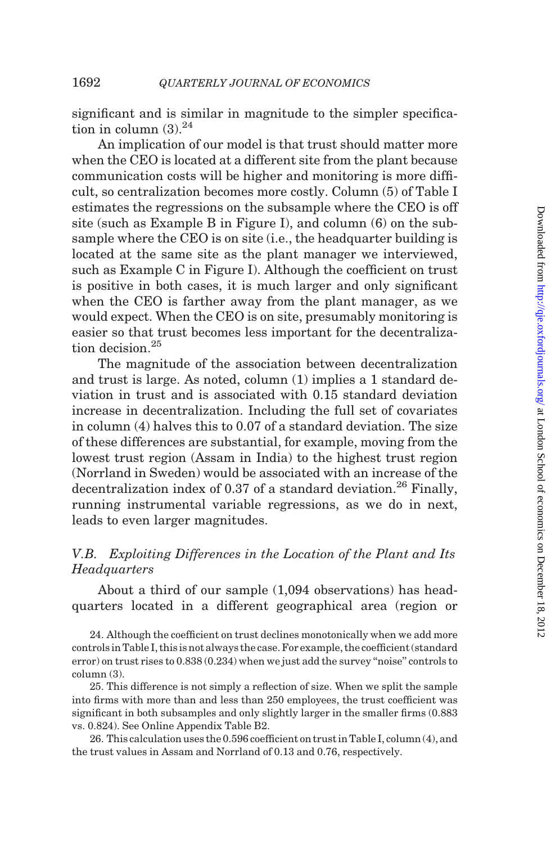significant and is similar in magnitude to the simpler specification in column  $(3).^{24}$ 

An implication of our model is that trust should matter more when the CEO is located at a different site from the plant because communication costs will be higher and monitoring is more difficult, so centralization becomes more costly. Column (5) of [Table I](#page-28-0) estimates the regressions on the subsample where the CEO is off site (such as Example B in [Figure I](#page-13-0)), and column (6) on the subsample where the CEO is on site (i.e., the headquarter building is located at the same site as the plant manager we interviewed, such as Example C in [Figure I\)](#page-13-0). Although the coefficient on trust is positive in both cases, it is much larger and only significant when the CEO is farther away from the plant manager, as we would expect. When the CEO is on site, presumably monitoring is easier so that trust becomes less important for the decentralization decision.<sup>25</sup>

The magnitude of the association between decentralization and trust is large. As noted, column (1) implies a 1 standard deviation in trust and is associated with 0.15 standard deviation increase in decentralization. Including the full set of covariates in column (4) halves this to 0.07 of a standard deviation. The size of these differences are substantial, for example, moving from the lowest trust region (Assam in India) to the highest trust region (Norrland in Sweden) would be associated with an increase of the decentralization index of 0.37 of a standard deviation.<sup>26</sup> Finally, running instrumental variable regressions, as we do in next, leads to even larger magnitudes.

## V.B. Exploiting Differences in the Location of the Plant and Its Headquarters

About a third of our sample (1,094 observations) has headquarters located in a different geographical area (region or

24. Although the coefficient on trust declines monotonically when we add more controls in [Table I](#page-28-0), this is notalways the case. For example, the coefficient (standard error) on trust rises to 0.838 (0.234) when we just add the survey ''noise'' controls to column (3).

25. This difference is not simply a reflection of size. When we split the sample into firms with more than and less than 250 employees, the trust coefficient was significant in both subsamples and only slightly larger in the smaller firms (0.883 vs. 0.824). See Online Appendix Table B2.

26. This calculation uses the 0.596 coefficient on trust in [Table I,](#page-28-0) column (4), and the trust values in Assam and Norrland of 0.13 and 0.76, respectively.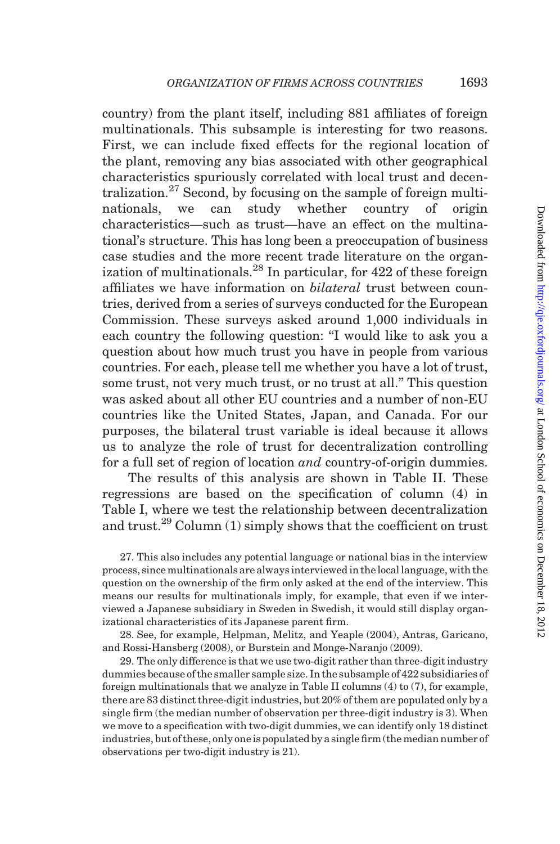country) from the plant itself, including 881 affiliates of foreign multinationals. This subsample is interesting for two reasons. First, we can include fixed effects for the regional location of the plant, removing any bias associated with other geographical characteristics spuriously correlated with local trust and decentralization.<sup>27</sup> Second, by focusing on the sample of foreign multinationals, we can study whether country of origin characteristics—such as trust—have an effect on the multinational's structure. This has long been a preoccupation of business case studies and the more recent trade literature on the organization of multinationals.<sup>28</sup> In particular, for  $422$  of these foreign affiliates we have information on bilateral trust between countries, derived from a series of surveys conducted for the European Commission. These surveys asked around 1,000 individuals in each country the following question: "I would like to ask you a question about how much trust you have in people from various countries. For each, please tell me whether you have a lot of trust, some trust, not very much trust, or no trust at all.'' This question was asked about all other EU countries and a number of non-EU countries like the United States, Japan, and Canada. For our purposes, the bilateral trust variable is ideal because it allows us to analyze the role of trust for decentralization controlling for a full set of region of location and country-of-origin dummies.

The results of this analysis are shown in [Table II.](#page-32-0) These regressions are based on the specification of column (4) in [Table I](#page-28-0), where we test the relationship between decentralization and trust.<sup>29</sup> Column (1) simply shows that the coefficient on trust

27. This also includes any potential language or national bias in the interview process, since multinationals are always interviewed in the local language, with the question on the ownership of the firm only asked at the end of the interview. This means our results for multinationals imply, for example, that even if we interviewed a Japanese subsidiary in Sweden in Swedish, it would still display organizational characteristics of its Japanese parent firm.

28. See, for example, [Helpman, Melitz, and Yeaple \(2004\)](#page-42-0), [Antras, Garicano,](#page-40-0) [and Rossi-Hansberg \(2008\)](#page-40-0), or [Burstein and Monge-Naranjo \(2009\)](#page-40-0).

29. The only difference is that we use two-digit rather than three-digit industry dummies because of the smaller sample size. In the subsample of 422 subsidiaries of foreign multinationals that we analyze in [Table II](#page-32-0) columns (4) to (7), for example, there are 83 distinct three-digit industries, but 20% of them are populated only by a single firm (the median number of observation per three-digit industry is 3). When we move to a specification with two-digit dummies, we can identify only 18 distinct industries, but of these, only one is populated by a single firm (the median number of observations per two-digit industry is 21).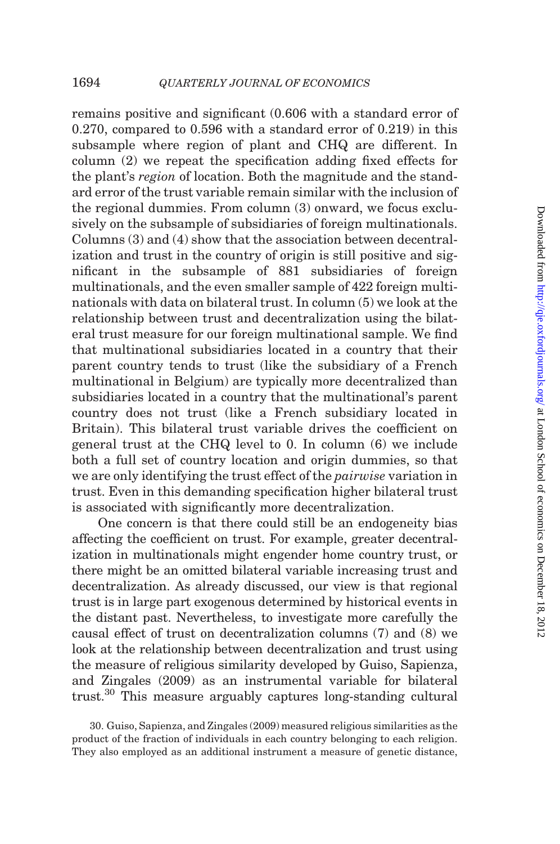remains positive and significant (0.606 with a standard error of 0.270, compared to 0.596 with a standard error of 0.219) in this subsample where region of plant and CHQ are different. In column (2) we repeat the specification adding fixed effects for the plant's region of location. Both the magnitude and the standard error of the trust variable remain similar with the inclusion of the regional dummies. From column (3) onward, we focus exclusively on the subsample of subsidiaries of foreign multinationals. Columns (3) and (4) show that the association between decentralization and trust in the country of origin is still positive and significant in the subsample of 881 subsidiaries of foreign multinationals, and the even smaller sample of 422 foreign multinationals with data on bilateral trust. In column (5) we look at the relationship between trust and decentralization using the bilateral trust measure for our foreign multinational sample. We find that multinational subsidiaries located in a country that their parent country tends to trust (like the subsidiary of a French multinational in Belgium) are typically more decentralized than subsidiaries located in a country that the multinational's parent country does not trust (like a French subsidiary located in Britain). This bilateral trust variable drives the coefficient on general trust at the CHQ level to 0. In column (6) we include both a full set of country location and origin dummies, so that we are only identifying the trust effect of the pairwise variation in trust. Even in this demanding specification higher bilateral trust is associated with significantly more decentralization.

One concern is that there could still be an endogeneity bias affecting the coefficient on trust. For example, greater decentralization in multinationals might engender home country trust, or there might be an omitted bilateral variable increasing trust and decentralization. As already discussed, our view is that regional trust is in large part exogenous determined by historical events in the distant past. Nevertheless, to investigate more carefully the causal effect of trust on decentralization columns (7) and (8) we look at the relationship between decentralization and trust using the measure of religious similarity developed by [Guiso, Sapienza,](#page-41-0) [and Zingales \(2009\)](#page-41-0) as an instrumental variable for bilateral trust.30 This measure arguably captures long-standing cultural

30. [Guiso, Sapienza, and Zingales \(2009\)](#page-41-0) measured religious similarities as the product of the fraction of individuals in each country belonging to each religion. They also employed as an additional instrument a measure of genetic distance,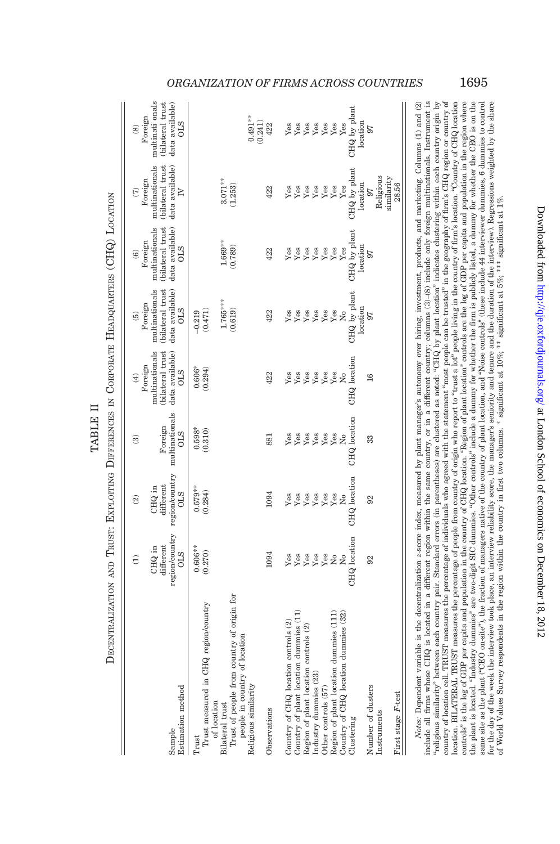| a was a compressive the compressive of the compressive of the compressive of the compressive of the compressive of the compressive of the compressive of the compressive of the compressive of the compressive of the compress | ls" is the log of GDP per capita and population in the country of CHQ location. "Region of plant location" controls are the log of GDP per capita and population in the r | ant is located. "Industry dummies" are two-digit SIC dummies. "Other controls" include a dummy for whether the firm is publicly listed, a dummy for whether the CE | site as the plant ("CEO on-site"), the fraction of managers native of the country of plant location, and "Noise controls" (these include 44 interviewer dummies, 6 dummie | day of the week the interview took place, an interview reliability score, the manager's seniority and tenure and the duration of the interview). Regressions weighted b | dd Values Survey respondents in the region within the country in first two columns. * significant at 10%; ** significant at 5%; *** significant at 1%. |  |  |
|--------------------------------------------------------------------------------------------------------------------------------------------------------------------------------------------------------------------------------|---------------------------------------------------------------------------------------------------------------------------------------------------------------------------|--------------------------------------------------------------------------------------------------------------------------------------------------------------------|---------------------------------------------------------------------------------------------------------------------------------------------------------------------------|-------------------------------------------------------------------------------------------------------------------------------------------------------------------------|--------------------------------------------------------------------------------------------------------------------------------------------------------|--|--|
|                                                                                                                                                                                                                                |                                                                                                                                                                           |                                                                                                                                                                    |                                                                                                                                                                           |                                                                                                                                                                         |                                                                                                                                                        |  |  |
|                                                                                                                                                                                                                                |                                                                                                                                                                           |                                                                                                                                                                    |                                                                                                                                                                           |                                                                                                                                                                         |                                                                                                                                                        |  |  |

| include all firms whose CHQ is located in a different region within the same country, or in a different country; columns $(3)$ - $(8)$ include only foreign multinationals. Instrument is<br>"religious similarity" between each country pair. Standard errors (in parentheses) are clustered as noted: "CHQ by plant location" indicates clustering within each country origin by<br>country of location cell. TRUST measures the percentage of individuals who agreed with the statement "most people can be trusted" in the geography of firm's CHQ region or country of<br>location. BILATERAL TRUST measures the percentage of people from country of origin who report to "trust a lot" people living in the country of firm's location. "Country of CHQ location<br>controls" is the log of GDP per capita and population in the country of CHQ location. "Region of plant location" controls are the log of GDP per capita and population in the region where<br>the plant is located. "Industry dummies" are two-digit SIC dummies. "Other controls" include a dummy for whether the firm is publicly listed, a dummy for whether the CEO is on the<br>same site as the plant ("CEO on-site"), the fraction of managers native of the country of plant location, and "Noise controls" (these include 44 interviewer dummies, 6 dummies to control<br>for the day of the week the interview took place, an interview reliability score, the manager's seniority and tenure and the duration of the interview). Regressions weighted by the share<br>of World Values Survey respondents in the region within the country in first two columns. * significant at 10%; ** significant at 5%; *** significant at 1%. |  |  |  |  |  |
|--------------------------------------------------------------------------------------------------------------------------------------------------------------------------------------------------------------------------------------------------------------------------------------------------------------------------------------------------------------------------------------------------------------------------------------------------------------------------------------------------------------------------------------------------------------------------------------------------------------------------------------------------------------------------------------------------------------------------------------------------------------------------------------------------------------------------------------------------------------------------------------------------------------------------------------------------------------------------------------------------------------------------------------------------------------------------------------------------------------------------------------------------------------------------------------------------------------------------------------------------------------------------------------------------------------------------------------------------------------------------------------------------------------------------------------------------------------------------------------------------------------------------------------------------------------------------------------------------------------------------------------------------------------------------------------------------------------------------|--|--|--|--|--|
|                                                                                                                                                                                                                                                                                                                                                                                                                                                                                                                                                                                                                                                                                                                                                                                                                                                                                                                                                                                                                                                                                                                                                                                                                                                                                                                                                                                                                                                                                                                                                                                                                                                                                                                          |  |  |  |  |  |
|                                                                                                                                                                                                                                                                                                                                                                                                                                                                                                                                                                                                                                                                                                                                                                                                                                                                                                                                                                                                                                                                                                                                                                                                                                                                                                                                                                                                                                                                                                                                                                                                                                                                                                                          |  |  |  |  |  |
|                                                                                                                                                                                                                                                                                                                                                                                                                                                                                                                                                                                                                                                                                                                                                                                                                                                                                                                                                                                                                                                                                                                                                                                                                                                                                                                                                                                                                                                                                                                                                                                                                                                                                                                          |  |  |  |  |  |
|                                                                                                                                                                                                                                                                                                                                                                                                                                                                                                                                                                                                                                                                                                                                                                                                                                                                                                                                                                                                                                                                                                                                                                                                                                                                                                                                                                                                                                                                                                                                                                                                                                                                                                                          |  |  |  |  |  |
|                                                                                                                                                                                                                                                                                                                                                                                                                                                                                                                                                                                                                                                                                                                                                                                                                                                                                                                                                                                                                                                                                                                                                                                                                                                                                                                                                                                                                                                                                                                                                                                                                                                                                                                          |  |  |  |  |  |
|                                                                                                                                                                                                                                                                                                                                                                                                                                                                                                                                                                                                                                                                                                                                                                                                                                                                                                                                                                                                                                                                                                                                                                                                                                                                                                                                                                                                                                                                                                                                                                                                                                                                                                                          |  |  |  |  |  |
|                                                                                                                                                                                                                                                                                                                                                                                                                                                                                                                                                                                                                                                                                                                                                                                                                                                                                                                                                                                                                                                                                                                                                                                                                                                                                                                                                                                                                                                                                                                                                                                                                                                                                                                          |  |  |  |  |  |
|                                                                                                                                                                                                                                                                                                                                                                                                                                                                                                                                                                                                                                                                                                                                                                                                                                                                                                                                                                                                                                                                                                                                                                                                                                                                                                                                                                                                                                                                                                                                                                                                                                                                                                                          |  |  |  |  |  |
|                                                                                                                                                                                                                                                                                                                                                                                                                                                                                                                                                                                                                                                                                                                                                                                                                                                                                                                                                                                                                                                                                                                                                                                                                                                                                                                                                                                                                                                                                                                                                                                                                                                                                                                          |  |  |  |  |  |
|                                                                                                                                                                                                                                                                                                                                                                                                                                                                                                                                                                                                                                                                                                                                                                                                                                                                                                                                                                                                                                                                                                                                                                                                                                                                                                                                                                                                                                                                                                                                                                                                                                                                                                                          |  |  |  |  |  |
|                                                                                                                                                                                                                                                                                                                                                                                                                                                                                                                                                                                                                                                                                                                                                                                                                                                                                                                                                                                                                                                                                                                                                                                                                                                                                                                                                                                                                                                                                                                                                                                                                                                                                                                          |  |  |  |  |  |
|                                                                                                                                                                                                                                                                                                                                                                                                                                                                                                                                                                                                                                                                                                                                                                                                                                                                                                                                                                                                                                                                                                                                                                                                                                                                                                                                                                                                                                                                                                                                                                                                                                                                                                                          |  |  |  |  |  |
|                                                                                                                                                                                                                                                                                                                                                                                                                                                                                                                                                                                                                                                                                                                                                                                                                                                                                                                                                                                                                                                                                                                                                                                                                                                                                                                                                                                                                                                                                                                                                                                                                                                                                                                          |  |  |  |  |  |
|                                                                                                                                                                                                                                                                                                                                                                                                                                                                                                                                                                                                                                                                                                                                                                                                                                                                                                                                                                                                                                                                                                                                                                                                                                                                                                                                                                                                                                                                                                                                                                                                                                                                                                                          |  |  |  |  |  |
|                                                                                                                                                                                                                                                                                                                                                                                                                                                                                                                                                                                                                                                                                                                                                                                                                                                                                                                                                                                                                                                                                                                                                                                                                                                                                                                                                                                                                                                                                                                                                                                                                                                                                                                          |  |  |  |  |  |
|                                                                                                                                                                                                                                                                                                                                                                                                                                                                                                                                                                                                                                                                                                                                                                                                                                                                                                                                                                                                                                                                                                                                                                                                                                                                                                                                                                                                                                                                                                                                                                                                                                                                                                                          |  |  |  |  |  |
|                                                                                                                                                                                                                                                                                                                                                                                                                                                                                                                                                                                                                                                                                                                                                                                                                                                                                                                                                                                                                                                                                                                                                                                                                                                                                                                                                                                                                                                                                                                                                                                                                                                                                                                          |  |  |  |  |  |
|                                                                                                                                                                                                                                                                                                                                                                                                                                                                                                                                                                                                                                                                                                                                                                                                                                                                                                                                                                                                                                                                                                                                                                                                                                                                                                                                                                                                                                                                                                                                                                                                                                                                                                                          |  |  |  |  |  |
|                                                                                                                                                                                                                                                                                                                                                                                                                                                                                                                                                                                                                                                                                                                                                                                                                                                                                                                                                                                                                                                                                                                                                                                                                                                                                                                                                                                                                                                                                                                                                                                                                                                                                                                          |  |  |  |  |  |
|                                                                                                                                                                                                                                                                                                                                                                                                                                                                                                                                                                                                                                                                                                                                                                                                                                                                                                                                                                                                                                                                                                                                                                                                                                                                                                                                                                                                                                                                                                                                                                                                                                                                                                                          |  |  |  |  |  |
|                                                                                                                                                                                                                                                                                                                                                                                                                                                                                                                                                                                                                                                                                                                                                                                                                                                                                                                                                                                                                                                                                                                                                                                                                                                                                                                                                                                                                                                                                                                                                                                                                                                                                                                          |  |  |  |  |  |
|                                                                                                                                                                                                                                                                                                                                                                                                                                                                                                                                                                                                                                                                                                                                                                                                                                                                                                                                                                                                                                                                                                                                                                                                                                                                                                                                                                                                                                                                                                                                                                                                                                                                                                                          |  |  |  |  |  |
|                                                                                                                                                                                                                                                                                                                                                                                                                                                                                                                                                                                                                                                                                                                                                                                                                                                                                                                                                                                                                                                                                                                                                                                                                                                                                                                                                                                                                                                                                                                                                                                                                                                                                                                          |  |  |  |  |  |
|                                                                                                                                                                                                                                                                                                                                                                                                                                                                                                                                                                                                                                                                                                                                                                                                                                                                                                                                                                                                                                                                                                                                                                                                                                                                                                                                                                                                                                                                                                                                                                                                                                                                                                                          |  |  |  |  |  |
|                                                                                                                                                                                                                                                                                                                                                                                                                                                                                                                                                                                                                                                                                                                                                                                                                                                                                                                                                                                                                                                                                                                                                                                                                                                                                                                                                                                                                                                                                                                                                                                                                                                                                                                          |  |  |  |  |  |
|                                                                                                                                                                                                                                                                                                                                                                                                                                                                                                                                                                                                                                                                                                                                                                                                                                                                                                                                                                                                                                                                                                                                                                                                                                                                                                                                                                                                                                                                                                                                                                                                                                                                                                                          |  |  |  |  |  |
|                                                                                                                                                                                                                                                                                                                                                                                                                                                                                                                                                                                                                                                                                                                                                                                                                                                                                                                                                                                                                                                                                                                                                                                                                                                                                                                                                                                                                                                                                                                                                                                                                                                                                                                          |  |  |  |  |  |
|                                                                                                                                                                                                                                                                                                                                                                                                                                                                                                                                                                                                                                                                                                                                                                                                                                                                                                                                                                                                                                                                                                                                                                                                                                                                                                                                                                                                                                                                                                                                                                                                                                                                                                                          |  |  |  |  |  |
|                                                                                                                                                                                                                                                                                                                                                                                                                                                                                                                                                                                                                                                                                                                                                                                                                                                                                                                                                                                                                                                                                                                                                                                                                                                                                                                                                                                                                                                                                                                                                                                                                                                                                                                          |  |  |  |  |  |
|                                                                                                                                                                                                                                                                                                                                                                                                                                                                                                                                                                                                                                                                                                                                                                                                                                                                                                                                                                                                                                                                                                                                                                                                                                                                                                                                                                                                                                                                                                                                                                                                                                                                                                                          |  |  |  |  |  |
|                                                                                                                                                                                                                                                                                                                                                                                                                                                                                                                                                                                                                                                                                                                                                                                                                                                                                                                                                                                                                                                                                                                                                                                                                                                                                                                                                                                                                                                                                                                                                                                                                                                                                                                          |  |  |  |  |  |
|                                                                                                                                                                                                                                                                                                                                                                                                                                                                                                                                                                                                                                                                                                                                                                                                                                                                                                                                                                                                                                                                                                                                                                                                                                                                                                                                                                                                                                                                                                                                                                                                                                                                                                                          |  |  |  |  |  |
|                                                                                                                                                                                                                                                                                                                                                                                                                                                                                                                                                                                                                                                                                                                                                                                                                                                                                                                                                                                                                                                                                                                                                                                                                                                                                                                                                                                                                                                                                                                                                                                                                                                                                                                          |  |  |  |  |  |
|                                                                                                                                                                                                                                                                                                                                                                                                                                                                                                                                                                                                                                                                                                                                                                                                                                                                                                                                                                                                                                                                                                                                                                                                                                                                                                                                                                                                                                                                                                                                                                                                                                                                                                                          |  |  |  |  |  |
|                                                                                                                                                                                                                                                                                                                                                                                                                                                                                                                                                                                                                                                                                                                                                                                                                                                                                                                                                                                                                                                                                                                                                                                                                                                                                                                                                                                                                                                                                                                                                                                                                                                                                                                          |  |  |  |  |  |
|                                                                                                                                                                                                                                                                                                                                                                                                                                                                                                                                                                                                                                                                                                                                                                                                                                                                                                                                                                                                                                                                                                                                                                                                                                                                                                                                                                                                                                                                                                                                                                                                                                                                                                                          |  |  |  |  |  |
|                                                                                                                                                                                                                                                                                                                                                                                                                                                                                                                                                                                                                                                                                                                                                                                                                                                                                                                                                                                                                                                                                                                                                                                                                                                                                                                                                                                                                                                                                                                                                                                                                                                                                                                          |  |  |  |  |  |
|                                                                                                                                                                                                                                                                                                                                                                                                                                                                                                                                                                                                                                                                                                                                                                                                                                                                                                                                                                                                                                                                                                                                                                                                                                                                                                                                                                                                                                                                                                                                                                                                                                                                                                                          |  |  |  |  |  |
|                                                                                                                                                                                                                                                                                                                                                                                                                                                                                                                                                                                                                                                                                                                                                                                                                                                                                                                                                                                                                                                                                                                                                                                                                                                                                                                                                                                                                                                                                                                                                                                                                                                                                                                          |  |  |  |  |  |
|                                                                                                                                                                                                                                                                                                                                                                                                                                                                                                                                                                                                                                                                                                                                                                                                                                                                                                                                                                                                                                                                                                                                                                                                                                                                                                                                                                                                                                                                                                                                                                                                                                                                                                                          |  |  |  |  |  |
|                                                                                                                                                                                                                                                                                                                                                                                                                                                                                                                                                                                                                                                                                                                                                                                                                                                                                                                                                                                                                                                                                                                                                                                                                                                                                                                                                                                                                                                                                                                                                                                                                                                                                                                          |  |  |  |  |  |
|                                                                                                                                                                                                                                                                                                                                                                                                                                                                                                                                                                                                                                                                                                                                                                                                                                                                                                                                                                                                                                                                                                                                                                                                                                                                                                                                                                                                                                                                                                                                                                                                                                                                                                                          |  |  |  |  |  |
|                                                                                                                                                                                                                                                                                                                                                                                                                                                                                                                                                                                                                                                                                                                                                                                                                                                                                                                                                                                                                                                                                                                                                                                                                                                                                                                                                                                                                                                                                                                                                                                                                                                                                                                          |  |  |  |  |  |
|                                                                                                                                                                                                                                                                                                                                                                                                                                                                                                                                                                                                                                                                                                                                                                                                                                                                                                                                                                                                                                                                                                                                                                                                                                                                                                                                                                                                                                                                                                                                                                                                                                                                                                                          |  |  |  |  |  |
|                                                                                                                                                                                                                                                                                                                                                                                                                                                                                                                                                                                                                                                                                                                                                                                                                                                                                                                                                                                                                                                                                                                                                                                                                                                                                                                                                                                                                                                                                                                                                                                                                                                                                                                          |  |  |  |  |  |
|                                                                                                                                                                                                                                                                                                                                                                                                                                                                                                                                                                                                                                                                                                                                                                                                                                                                                                                                                                                                                                                                                                                                                                                                                                                                                                                                                                                                                                                                                                                                                                                                                                                                                                                          |  |  |  |  |  |
|                                                                                                                                                                                                                                                                                                                                                                                                                                                                                                                                                                                                                                                                                                                                                                                                                                                                                                                                                                                                                                                                                                                                                                                                                                                                                                                                                                                                                                                                                                                                                                                                                                                                                                                          |  |  |  |  |  |
|                                                                                                                                                                                                                                                                                                                                                                                                                                                                                                                                                                                                                                                                                                                                                                                                                                                                                                                                                                                                                                                                                                                                                                                                                                                                                                                                                                                                                                                                                                                                                                                                                                                                                                                          |  |  |  |  |  |
|                                                                                                                                                                                                                                                                                                                                                                                                                                                                                                                                                                                                                                                                                                                                                                                                                                                                                                                                                                                                                                                                                                                                                                                                                                                                                                                                                                                                                                                                                                                                                                                                                                                                                                                          |  |  |  |  |  |
|                                                                                                                                                                                                                                                                                                                                                                                                                                                                                                                                                                                                                                                                                                                                                                                                                                                                                                                                                                                                                                                                                                                                                                                                                                                                                                                                                                                                                                                                                                                                                                                                                                                                                                                          |  |  |  |  |  |
|                                                                                                                                                                                                                                                                                                                                                                                                                                                                                                                                                                                                                                                                                                                                                                                                                                                                                                                                                                                                                                                                                                                                                                                                                                                                                                                                                                                                                                                                                                                                                                                                                                                                                                                          |  |  |  |  |  |
|                                                                                                                                                                                                                                                                                                                                                                                                                                                                                                                                                                                                                                                                                                                                                                                                                                                                                                                                                                                                                                                                                                                                                                                                                                                                                                                                                                                                                                                                                                                                                                                                                                                                                                                          |  |  |  |  |  |
|                                                                                                                                                                                                                                                                                                                                                                                                                                                                                                                                                                                                                                                                                                                                                                                                                                                                                                                                                                                                                                                                                                                                                                                                                                                                                                                                                                                                                                                                                                                                                                                                                                                                                                                          |  |  |  |  |  |
|                                                                                                                                                                                                                                                                                                                                                                                                                                                                                                                                                                                                                                                                                                                                                                                                                                                                                                                                                                                                                                                                                                                                                                                                                                                                                                                                                                                                                                                                                                                                                                                                                                                                                                                          |  |  |  |  |  |
|                                                                                                                                                                                                                                                                                                                                                                                                                                                                                                                                                                                                                                                                                                                                                                                                                                                                                                                                                                                                                                                                                                                                                                                                                                                                                                                                                                                                                                                                                                                                                                                                                                                                                                                          |  |  |  |  |  |
|                                                                                                                                                                                                                                                                                                                                                                                                                                                                                                                                                                                                                                                                                                                                                                                                                                                                                                                                                                                                                                                                                                                                                                                                                                                                                                                                                                                                                                                                                                                                                                                                                                                                                                                          |  |  |  |  |  |

Notes: Dependent variable is the decentralization z-score index, measured by plant manager's autonomy over hiring, investment, products, and marketing. Columns (1) and (2)

Notes: Dependent variable is the decentralization z-score index, measured by plant manager's autonomy over hiring, investment, products, and marketing. Columns (1) and (2)

# ORGANIZATION OF FIRMS ACROSS COUNTRIES 1695

<span id="page-32-0"></span>multinati onals (bilateral trust multinati onals data available) (bilateral trust data available)  $\rm CHQ$  by plant location CHQ by plant Foreign  $0.491***$ Religious similarity  $0.491^{**}$ **OLS** (0.241) 422  $_{\rm Yes}$ Yes Yes Yes  $Yes$ Yes Yes  $\widehat{S}$ Estimation method OLS OLS OLS OLS OLS OLS IV OLS 97 Observations 1094 1094 881 422 422 422 422 422 Country of CHQ location controls (2)  $Y$ es  $Y$ es  $Y$ es  $Y$ es  $Y$ es  $Y$ es  $Y$ es  $Y$ es  $Y$ es  $Y$ es  $Y$ es  $Y$ es  $Y$ es  $Y$ es  $Y$ Country of plant location dummies (11)  $Y_{\text{ess}}$   $Y_{\text{ess}}$   $Y_{\text{ess}}$   $Y_{\text{ess}}$   $Y_{\text{ess}}$   $Y_{\text{ess}}$   $Y_{\text{ess}}$ Region of plant location controls (2)  $Y$ es  $Y$ es  $Y$ es  $Y$ es  $Y$ es  $Y$ es  $Y$ es  $Y$ es  $Y$ es  $Y$ es  $Y$ es  $Y$ es  $Y$ es  $Y$ es  $Y$ Industry dummies (23) Yes Yes Yes Yes Yes Yes Yes Yes Other controls (57)  $Y$ es  $Y$ es  $Y$ es  $Y$ es  $Y$ es  $Y$ es  $Y$ es  $Y$ es  $Y$ es  $Y$ es  $Y$ es  $Y$ es  $Y$ es  $Y$ es  $Y$ es  $Y$ es  $Y$ es  $Y$ es  $Y$ es  $Y$ es  $Y$ es  $Y$ es  $Y$ es  $Y$ es  $Y$ es  $Y$ es  $Y$ es  $Y$ es  $Y$ es  $Y$ es  $Y$ es  $Y$ es  $Y$ es  $Y$ Region of plant location dummies (111) No Yes Yes Yes Yes Yes Yes Yes Country of CHQ location dummies (32) No No No No No Yes Yes Yes (1) (2) (3) (4) (5) (6) (7) (8) Number of clusters 92 92 33 16 97 97 97 97 data available) CHQ by plant multinationals (bilateral trust multinationals (bilateral trust data available) CHQ by plant Religious similarity Foreign  $3.071***$ Instruments Religious  ${\rm Bilateral\; true1}\; {\rm true1}\; {\rm true3}\; 3.071^{**}$ 28.56  $(1.253)$ Yes Yes Yes location  $(0.619)$   $(0.789)$   $(1.253)$ 422 Yes Yes Yes Yes 97 First stage F-test 28.56  $\overline{N}$ E DECENTRALIZATION AND TRUST: EXPLOITING DIFFERENCES IN CORPORATE HEADQUARTERS (CHQ) LOCATION HEADQUARTERS (CHQ) LOCATION (bilateral trust data available) multinationals  $\mathop{\rm CHQ}\nolimits$  by plant multinationals (bilateral trust data available) CHQ by plant Foreign 1.669\*\* **OLS**  $0.789$  $Y$ es  $Y$ es location 422  $Yes$  $\mathbf{Yes}$ Yes Yes  ${\it Yes}$  $\widehat{\epsilon}$ 97 data available) multinationals (bilateral trust CHQ by plant multinationals (bilateral trust data available) Clustering CHQ location CHQ location CHQ location CHQ location CHQ by plant 1.765\*\*\* Foreign **OLS**  $(0.471)$ location  $-0.219$  $0.619$ 422 Yes Yes  $Y$ es<br>No 6  $(0.270(0.294)$  (0.284) (0.204) (0.204) (0.294) (0.294) (0.294) Čes Yes Yes 97  $\Gamma$ rust 0.6% 0.606. –0.000 0.608 –0.598 –0.598 –0.598 –0.598 –0.508 –0.508 –0.508 –0.219 CORPORATE data available) multinationals bilateral trust multinationals (bilateral trust data available) location Foreign  $0.606\,^*$  $(0.294)$ **OLS** Yes Yes  $Y$ es Yes<br>No 422 Yes Yes  $\widehat{4}$  $\frac{6}{1}$ CHQ 1 DIFFERENCES IN multinationals multinationals CHQ location Foreign  $\frac{0.598^*}{(0.310)}$ **OLS**  $Yes$ Yes Yes Yes Yes Yes<br>No 881  $\widehat{a}$ 33 region/country TRUST: EXPLOITING region/country location different CHQ in  $0.579***$  $(0.284)$ **OLS** Yes 1094 Yes Yes Yes  $Yes$ Yes ž  $\odot$ 92 CHQ 1 region/country region/country CHQ location different  $0.606**$ CHQ in  $(0.270)$ **OLS** 1094 Yes  $Y$ es Yes 2g Yes Yes  $\widehat{E}$  $92$ DECENTRALIZATION AND Trust of people from country of origin for Trust of people from country of origin for Trust measured in CHQ region/country Trust measured in CHQ region/country Country of plant location dummies (11) Region of plant location dummies (111) Country of CHQ location dummies (32) Country of CHQ location controls (2) Region of plant location controls (2) people in country of location people in country of location Industry dummies (23) Religious similarity Other controls (57) Number of clusters Sample<br>Estimation method First stage  $F$ -test of location of location Bilateral trust Observations Instruments Clustering Trust

TABLE II TABLE II

Downloaded from http://qje.oxfordjournals.org/ at London School of economics on December 18, 2012 Downloaded from <http://qje.oxfordjournals.org/> at London School of economics on December 18, 2012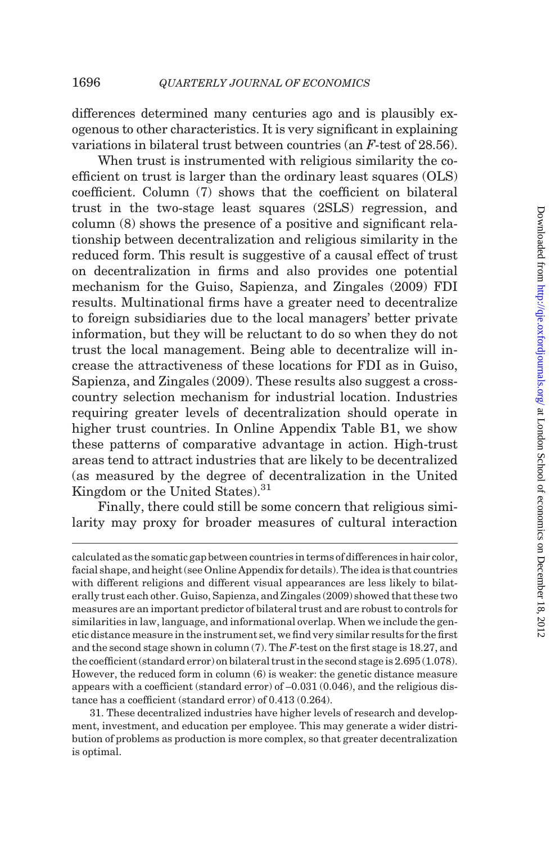differences determined many centuries ago and is plausibly exogenous to other characteristics. It is very significant in explaining variations in bilateral trust between countries (an F-test of 28.56).

When trust is instrumented with religious similarity the coefficient on trust is larger than the ordinary least squares (OLS) coefficient. Column (7) shows that the coefficient on bilateral trust in the two-stage least squares (2SLS) regression, and column (8) shows the presence of a positive and significant relationship between decentralization and religious similarity in the reduced form. This result is suggestive of a causal effect of trust on decentralization in firms and also provides one potential mechanism for the [Guiso, Sapienza, and Zingales \(2009\)](#page-41-0) FDI results. Multinational firms have a greater need to decentralize to foreign subsidiaries due to the local managers' better private information, but they will be reluctant to do so when they do not trust the local management. Being able to decentralize will increase the attractiveness of these locations for FDI as in [Guiso,](#page-41-0) [Sapienza, and Zingales \(2009\).](#page-41-0) These results also suggest a crosscountry selection mechanism for industrial location. Industries requiring greater levels of decentralization should operate in higher trust countries. In [Online Appendix Table B1](http://hwmaint.qje.oxfordjournals.org/cgi/content/full/qjs029/DC1), we show these patterns of comparative advantage in action. High-trust areas tend to attract industries that are likely to be decentralized (as measured by the degree of decentralization in the United Kingdom or the United States).31

Finally, there could still be some concern that religious similarity may proxy for broader measures of cultural interaction

calculated as the somatic gap between countries in terms of differences in hair color, facial shape, and height (see Online Appendix for details). The idea is that countries with different religions and different visual appearances are less likely to bilaterally trust each other. [Guiso, Sapienza, and Zingales \(2009\)](#page-41-0) showed that these two measures are an important predictor of bilateral trust and are robust to controls for similarities in law, language, and informational overlap. When we include the genetic distance measure in the instrument set, we find very similar results for the first and the second stage shown in column (7). The F-test on the first stage is 18.27, and the coefficient (standard error) on bilateral trust in the second stage is 2.695 (1.078). However, the reduced form in column (6) is weaker: the genetic distance measure appears with a coefficient (standard error) of –0.031 (0.046), and the religious distance has a coefficient (standard error) of 0.413 (0.264).

<sup>31.</sup> These decentralized industries have higher levels of research and development, investment, and education per employee. This may generate a wider distribution of problems as production is more complex, so that greater decentralization is optimal.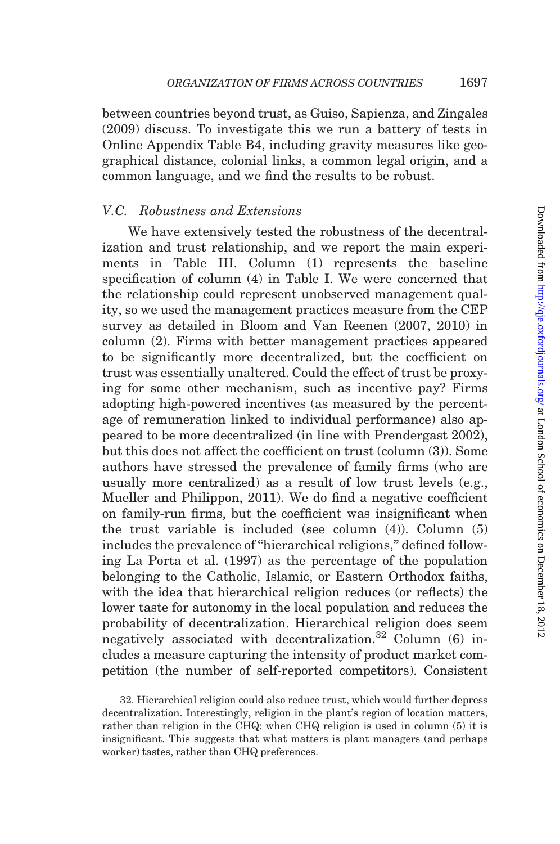between countries beyond trust, as [Guiso, Sapienza, and Zingales](#page-41-0) [\(2009\)](#page-41-0) discuss. To investigate this we run a battery of tests in [Online Appendix Table B4](http://hwmaint.qje.oxfordjournals.org/cgi/content/full/qjs029/DC1), including gravity measures like geographical distance, colonial links, a common legal origin, and a common language, and we find the results to be robust.

## V.C. Robustness and Extensions

We have extensively tested the robustness of the decentralization and trust relationship, and we report the main experiments in [Table III.](#page-35-0) Column (1) represents the baseline specification of column (4) in [Table I.](#page-28-0) We were concerned that the relationship could represent unobserved management quality, so we used the management practices measure from the CEP survey as detailed in Bloom and Van Reenen ([2007, 2010](#page-40-0)) in column (2). Firms with better management practices appeared to be significantly more decentralized, but the coefficient on trust was essentially unaltered. Could the effect of trust be proxying for some other mechanism, such as incentive pay? Firms adopting high-powered incentives (as measured by the percentage of remuneration linked to individual performance) also appeared to be more decentralized (in line with [Prendergast 2002](#page-42-0)), but this does not affect the coefficient on trust (column (3)). Some authors have stressed the prevalence of family firms (who are usually more centralized) as a result of low trust levels (e.g., [Mueller and Philippon, 2011\)](#page-42-0). We do find a negative coefficient on family-run firms, but the coefficient was insignificant when the trust variable is included (see column (4)). Column (5) includes the prevalence of ''hierarchical religions,'' defined following [La Porta et al. \(1997\)](#page-42-0) as the percentage of the population belonging to the Catholic, Islamic, or Eastern Orthodox faiths, with the idea that hierarchical religion reduces (or reflects) the lower taste for autonomy in the local population and reduces the probability of decentralization. Hierarchical religion does seem negatively associated with decentralization.<sup>32</sup> Column  $(6)$  includes a measure capturing the intensity of product market competition (the number of self-reported competitors). Consistent

<sup>32.</sup> Hierarchical religion could also reduce trust, which would further depress decentralization. Interestingly, religion in the plant's region of location matters, rather than religion in the CHQ: when CHQ religion is used in column (5) it is insignificant. This suggests that what matters is plant managers (and perhaps worker) tastes, rather than CHQ preferences.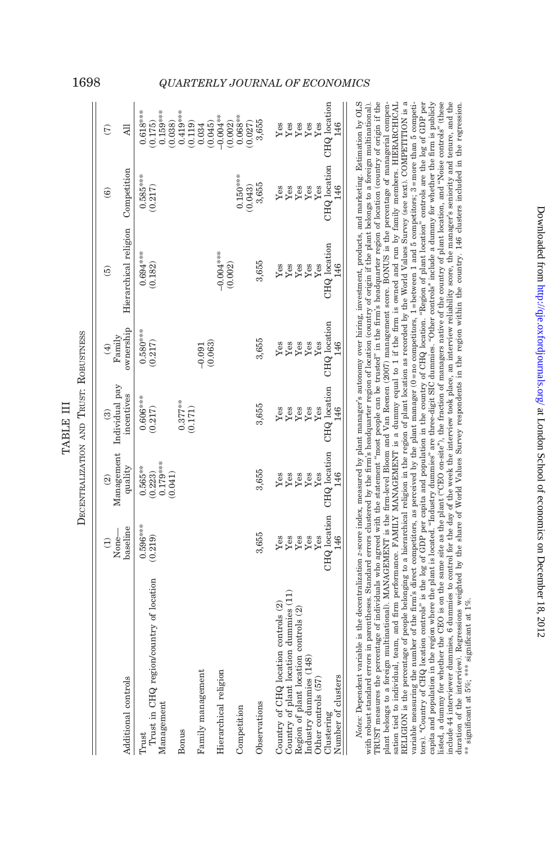|                                                                |                            |                                                  | DECENTRALIZATION AND TRUST: ROBUSTNESS                              |                                                                                                            |                        |                           |                                                            |
|----------------------------------------------------------------|----------------------------|--------------------------------------------------|---------------------------------------------------------------------|------------------------------------------------------------------------------------------------------------|------------------------|---------------------------|------------------------------------------------------------|
|                                                                | $None-$<br>$\widehat{\Xi}$ | $\widehat{\mathfrak{D}}$                         | Management Individual pay<br>$\widehat{\mathcal{C}}$                | $\bigoplus$                                                                                                | 6                      | $\widehat{\mathbf{e}}$    | $\widehat{c}$                                              |
| Additional controls                                            | baseline                   | quality                                          | incentives                                                          | ownership<br>Family                                                                                        | Hierarchical religion  | Competition               | $\overline{a}$                                             |
| Trust in CHQ region/country of location<br>Management<br>Trust | $0.596***$<br>(0.219)      | $(0.223)$<br>0.179***<br>$(0.041)$<br>$0.565***$ | $0.606***$<br>(0.217)                                               | $0.580***$<br>(0.217)                                                                                      | $0.694***$<br>(0.182)  | $0.585***$<br>(0.217)     | $0.618***$<br>$\frac{0.159***}{(0.038)}$<br>(0.175)        |
| Bonus                                                          |                            |                                                  | $0.377***$                                                          |                                                                                                            |                        |                           | $0.419***$                                                 |
| Family management                                              |                            |                                                  | (0.171)                                                             | (0.063)<br>$-0.091$                                                                                        |                        |                           | $\begin{array}{c} (0.119) \\ 0.034 \end{array}$<br>(0.045) |
| Hierarchical religion                                          |                            |                                                  |                                                                     |                                                                                                            | $-0.004***$<br>(0.002) |                           | $-0.004***$<br>(0.002)                                     |
| Competition                                                    |                            |                                                  |                                                                     |                                                                                                            |                        | $0.150***$                | $0.068***$<br>(0.027)                                      |
| Observations                                                   | 3,655                      | 3,655                                            | 3,655                                                               | 3,655                                                                                                      | 3,655                  | 3,655<br>(0.043)          | 3,655                                                      |
| Country of CHQ location controls (2)                           |                            | Yes                                              |                                                                     |                                                                                                            |                        | Yes                       |                                                            |
| Country of plant location dummies (11                          |                            |                                                  |                                                                     |                                                                                                            |                        | Yes                       |                                                            |
| Region of plant location controls (2)                          | es<br>Paga<br>Pa           | Yes<br>Yes<br>Yes                                | $\begin{array}{c} 24 \\ 24 \\ 24 \\ 25 \\ 26 \\ 3 \\ 4 \end{array}$ | $\begin{array}{c} 268 \\ \texttt{PMS} \\ \texttt{X} \\ \texttt{X} \\ \texttt{X} \\ \texttt{X} \end{array}$ | Es az<br>Paz<br>Paz    | $_{\rm Yes}^{\rm Yes}$    |                                                            |
| Industry dummies (148)                                         | Yes                        | $Y$ es                                           | Yes                                                                 | Yes                                                                                                        | Yes                    | Yes                       | as<br>Baga<br>XXXX                                         |
| Other controls (57)<br>Clustering                              |                            | CHQ location CHQ location                        | <b>CHQ</b> location                                                 | CHQ location                                                                                               | CHQ location           | CHQ location CHQ location |                                                            |
| Number of clusters                                             | 146                        | 146                                              | 146                                                                 | 146                                                                                                        | 146                    | 146                       | 146                                                        |
|                                                                |                            |                                                  |                                                                     |                                                                                                            |                        |                           |                                                            |

Notes: Dependent variable is the decentralization z-score index, measured by plant manager's autonomy over hiring, investment, products, and marketing. Estimation by OLS with robust standard errors in parentheses. Standard errors clustered by the firm's headquarter region of location (country of origin if the plant belongs to a foreign multinational). IRUST measures the percentage of individuals who agreed with the statement "most people can be trusted" in the firm's headquarter region of location (country of origin if the plant belongs to a foreign multinational). MANACEMENT is the firm-level Bloom and Van Reenen (2007) management score. BONUS is the percentage of managerial compensation tied to individual, team, and firm performance. FAMILY MANAGEMENT is a dummy equal to 1 if the firm is owned and run by family members. HIERARCHICAL RELIGION is the percentage of people belonging to a hierarchical religion in the region of plant location as recorded by the World Values Survey (see text). COMPETITION is a variable measuring the number of the firm's direct competitors, as perceived by the plant manager  $(0=n_0 \text{ competitiones}, 1 = \text{between } 1 \text{ and } 5 \text{ competitiones}, 3 = \text{more than } 5 \text{ competitiones})$ tors). "Country of CHQ location controls" is the log of GDP per capita and population in the country of CHQ location. "Region of plant location" controls are the log of GDP per capita and population in the region where the plant is located. "Industry dummies" are three-digit SIC dummies, "Other controls" include a dummy for whether the firm is publicly isted, a dummy for whether the CEO is on the same site as the plant ("CEO on-site"), the fraction of managers native of the country of plant location, and "Noise controls" (these include 44 interviewer dummies, 6 dummies to control for the day of the week the interview took place, an interview reliability score, the manager's seniority and tenure, and the RELIGION is the percentage of people belonging to a hierarchical religion in the region of plant location as recorded by the World Values Survey (see text). COMPETITION is a capita and population in the region where the plant is located. ''Industry dummies'' are three-digit SIC dummies. ''Other controls'' include a dummy for whether the firm is publicly duration of the interview). Regressions weighted by the share of World Values Survey respondents in the region within the country. 146 clusters included in the regression. Notes: Dependent variable is the decentralization z-score index, measured by plant manager's autonomy over hiring, investment, products, and marketing. Estimation by OLS with robust standard errors in parentheses. Standard errors clustered by the firm's headquarter region of location (country of origin if the plant belongs to a foreign multinational). TRUST measures the percentage of individuals who agreed with the statement ''most people can be trusted'' in the firm's headquarter region of location (country of origin if the plant belongs to a foreign multinational). MANAGEMENT is the firm-level Bloom and Van [Reenen](#page-40-0) (2007) management score. BONUS is the percentage of managerial compensation tied to individual, team, and firm performance. FAMILY MANAGEMENT is a dummy equal to 1 if the firm is owned and run by family members. HIERARCHICAL variable measuring the number of the firm's direct competitors, as perceived by the plant manager (0 = no competitors, 1 = between 1 and 5 competitors; 3 = more than 5 competitors). ''Country of CHQ location controls'' is the log of GDP per capita and population in the country of CHQ location. ''Region of plant location'' controls are the log of GDP per listed, a dummy for whether the CEO is on the same site as the plant (''CEO on-site''), the fraction of managers native of the country of plant location, and ''Noise controls'' (these include 44 interviewer dummies, 6 dummies to control for the day of the week the interview took place, an interview reliability score, the manager's seniority and tenure, and the duration of the interview). Regressions weighted by the share of World Values Survey respondents in the region within the country. 146 clusters included in the regression. \*\* significant at 5%; \*\*\* significant at 1%. \*\* significant at 5%; \*\*\* significant at 1%.

TABLE III

TABLE III Ï

j

ï

# <span id="page-35-0"></span>1698 QUARTERLY JOURNAL OF ECONOMICS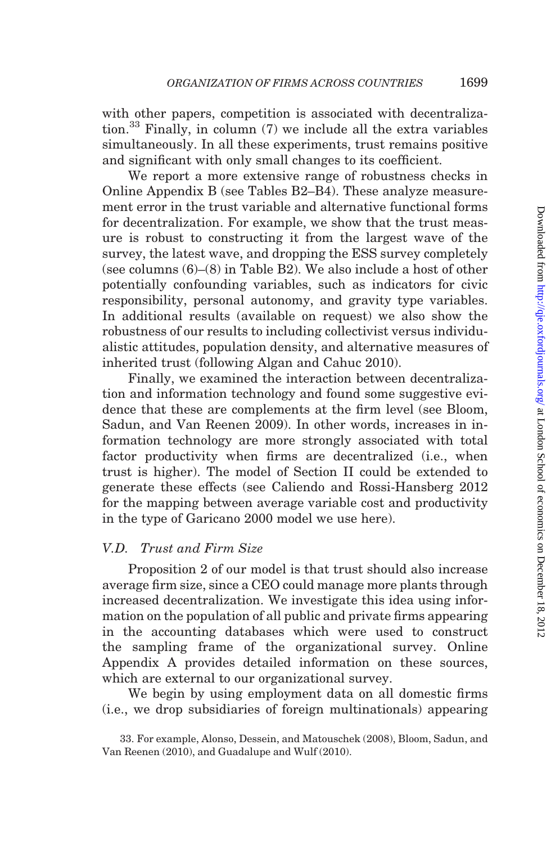with other papers, competition is associated with decentralization.<sup>33</sup> Finally, in column  $(7)$  we include all the extra variables simultaneously. In all these experiments, trust remains positive and significant with only small changes to its coefficient.

We report a more extensive range of robustness checks in [Online Appendix B](http://hwmaint.qje.oxfordjournals.org/cgi/content/full/qjs029/DC1) (see [Tables B2–B4\)](http://hwmaint.qje.oxfordjournals.org/cgi/content/full/qjs029/DC1). These analyze measurement error in the trust variable and alternative functional forms for decentralization. For example, we show that the trust measure is robust to constructing it from the largest wave of the survey, the latest wave, and dropping the ESS survey completely (see columns (6)–(8) in [Table B2\)](http://hwmaint.qje.oxfordjournals.org/cgi/content/full/qjs029/DC1). We also include a host of other potentially confounding variables, such as indicators for civic responsibility, personal autonomy, and gravity type variables. In additional results (available on request) we also show the robustness of our results to including collectivist versus individualistic attitudes, population density, and alternative measures of inherited trust (following [Algan and Cahuc 2010](#page-40-0)).

Finally, we examined the interaction between decentralization and information technology and found some suggestive evidence that these are complements at the firm level (see [Bloom,](#page-40-0) [Sadun, and Van Reenen 2009](#page-40-0)). In other words, increases in information technology are more strongly associated with total factor productivity when firms are decentralized (i.e., when trust is higher). The model of Section II could be extended to generate these effects (see [Caliendo and Rossi-Hansberg 2012](#page-41-0) for the mapping between average variable cost and productivity in the type of [Garicano 2000](#page-41-0) model we use here).

## V.D. Trust and Firm Size

Proposition 2 of our model is that trust should also increase average firm size, since a CEO could manage more plants through increased decentralization. We investigate this idea using information on the population of all public and private firms appearing in the accounting databases which were used to construct the sampling frame of the organizational survey. [Online](http://hwmaint.qje.oxfordjournals.org/cgi/content/full/qjs029/DC1) [Appendix A](http://hwmaint.qje.oxfordjournals.org/cgi/content/full/qjs029/DC1) provides detailed information on these sources, which are external to our organizational survey.

We begin by using employment data on all domestic firms (i.e., we drop subsidiaries of foreign multinationals) appearing

<sup>33.</sup> For example, [Alonso, Dessein, and Matouschek \(2008\)](#page-40-0), [Bloom, Sadun, and](#page-40-0) [Van Reenen \(2010\),](#page-40-0) and [Guadalupe and Wulf \(2010\).](#page-41-0)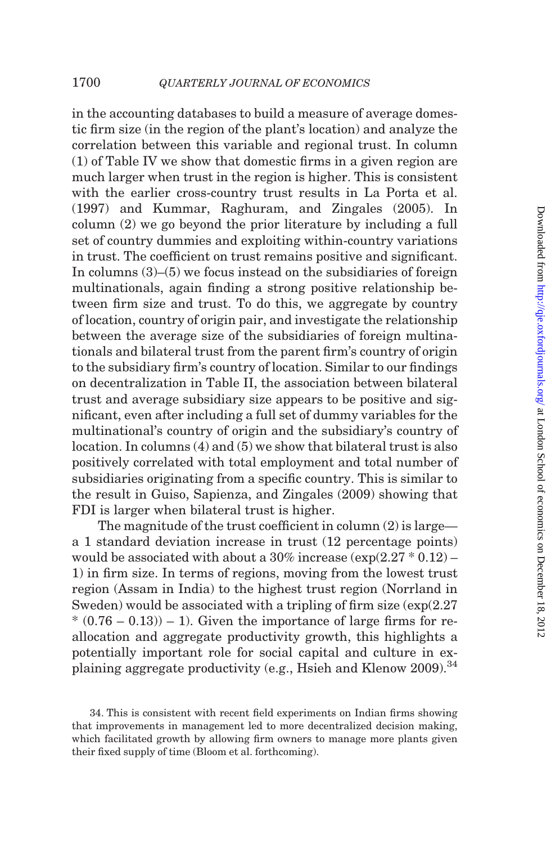in the accounting databases to build a measure of average domestic firm size (in the region of the plant's location) and analyze the correlation between this variable and regional trust. In column (1) of [Table IV](#page-38-0) we show that domestic firms in a given region are much larger when trust in the region is higher. This is consistent with the earlier cross-country trust results in [La Porta et al.](#page-42-0) [\(1997\)](#page-42-0) and [Kummar, Raghuram, and Zingales \(2005\)](#page-42-0). In column (2) we go beyond the prior literature by including a full set of country dummies and exploiting within-country variations in trust. The coefficient on trust remains positive and significant. In columns  $(3)$ – $(5)$  we focus instead on the subsidiaries of foreign multinationals, again finding a strong positive relationship between firm size and trust. To do this, we aggregate by country of location, country of origin pair, and investigate the relationship between the average size of the subsidiaries of foreign multinationals and bilateral trust from the parent firm's country of origin to the subsidiary firm's country of location. Similar to our findings on decentralization in [Table II](#page-32-0), the association between bilateral trust and average subsidiary size appears to be positive and significant, even after including a full set of dummy variables for the multinational's country of origin and the subsidiary's country of location. In columns (4) and (5) we show that bilateral trust is also positively correlated with total employment and total number of subsidiaries originating from a specific country. This is similar to the result in [Guiso, Sapienza, and Zingales \(2009\)](#page-41-0) showing that FDI is larger when bilateral trust is higher.

The magnitude of the trust coefficient in column (2) is large a 1 standard deviation increase in trust (12 percentage points) would be associated with about a  $30\%$  increase (exp(2.27  $*$  0.12) – 1) in firm size. In terms of regions, moving from the lowest trust region (Assam in India) to the highest trust region (Norrland in Sweden) would be associated with a tripling of firm size (exp(2.27  $*(0.76 - 0.13)$  – 1). Given the importance of large firms for reallocation and aggregate productivity growth, this highlights a potentially important role for social capital and culture in ex-plaining aggregate productivity (e.g., [Hsieh and Klenow 2009\)](#page-42-0).<sup>34</sup>

<sup>34.</sup> This is consistent with recent field experiments on Indian firms showing that improvements in management led to more decentralized decision making, which facilitated growth by allowing firm owners to manage more plants given their fixed supply of time [\(Bloom et al. forthcoming\)](#page-40-0).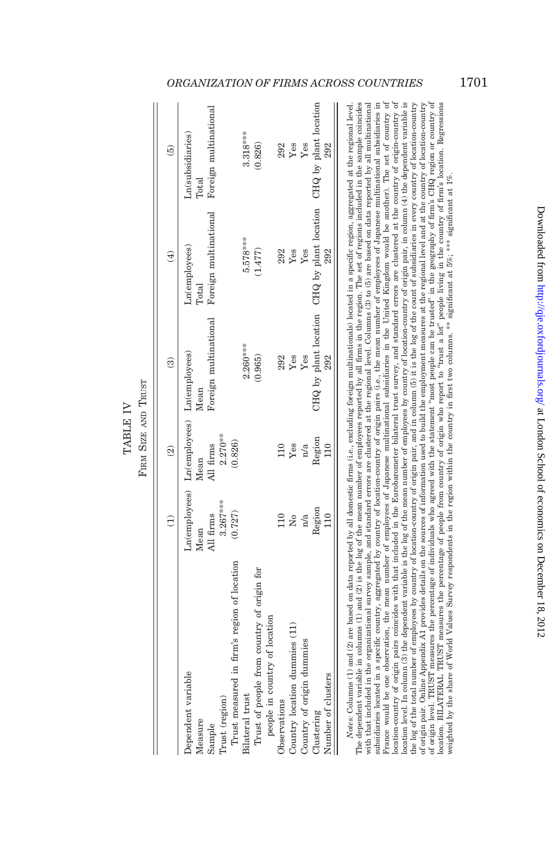| ⋗ | ť      |
|---|--------|
| L | È<br>₹ |
| F | 2<br>ñ |
|   |        |

<span id="page-38-0"></span>

|                                             |                         | $\widehat{\mathfrak{D}}$                          | $\widehat{\mathbb{C}}$ | $\bigoplus$                                                               | $\widehat{5}$                    |
|---------------------------------------------|-------------------------|---------------------------------------------------|------------------------|---------------------------------------------------------------------------|----------------------------------|
| Dependent variable<br>Measure               | Mean                    | Ln(employees) Ln(employees) Ln(employees)<br>Mean | Mean                   | Ln(employees)<br><b>Potal</b>                                             | Ln(subsidiaries)<br><b>Total</b> |
| Trust (region)<br>Sample                    | $3.267***$<br>All firms | $2.270***$<br>Jl firms                            | Foreign multinational  | Foreign multinational                                                     | Foreign multinational            |
| Trust measured in firm's region of location | (0.727)                 | 0.826                                             |                        |                                                                           |                                  |
| Bilateral trust                             |                         |                                                   | $2.260***$             | 5.578***                                                                  | $3.318***$                       |
| Trust of people from country of origin for  |                         |                                                   | 0.965)                 | 1.477                                                                     | 0.826)                           |
| people in country of location               |                         |                                                   |                        |                                                                           |                                  |
| Observations                                | 10                      |                                                   | 292                    | 292                                                                       | 292                              |
| Country location dummies (11)               |                         | $\mathbf{Yes}$                                    | Yes                    | Yes                                                                       | Yes                              |
| Country of origin dummies                   | n/a                     | n/a                                               | Yes                    | Yes                                                                       | Yes                              |
| Clustering                                  | Region                  | Region                                            |                        | $CHQ$ by plant location CH $Q$ by plant location CH $Q$ by plant location |                                  |
| Number of clusters                          | 110                     |                                                   | 292                    | 292                                                                       | 292                              |
|                                             |                         |                                                   |                        |                                                                           |                                  |

Notes: Columns (1) and (2) are based on data reported by all domestic firms (i.e., excluding foreign multinationals) located in a specific region, aggregated at the regional level. The dependent variable in columns (1) and (2) is the log of the mean number of employees reported by all firms in the region. The set of regions included in the sample coincides with that included in the organizational survey sample, and standard errors are clustered at the regional level. Columns (3) to (5) are based on data reported by all multinational subsidiaries located in a specific country, aggregated by country of location-country of origin pairs (i.e., the mean number of employees of Japanese multinational subsidiaries in France would be one observation, the mean number of employees of Japanese multinational subsidiaries in the United Kingdom would be another). The set of country of location-country of origin pairs coincides with that included in the Eurobarometer bilateral trust survey, and standard errors are clustered at the country of origin-country of location level. In column (3) the dependent variable is the log of the mean number of employees by country of location-country of origin pair, in column (4) the dependent variable is the log of the total number of employees by country of location-country of origin pair, and in column (5) it is the log of the count of subsidiaries in every country of location-country of origin pair. Online Appendix A1 provides details on the sources of information used to build the employment measures at the regional level and at the country of location-country of origin level. TRUST measures the percentage of individuals who agreed with the statement "most people can be trusted" in the geography of firm's CHQ region or country of location. BILATERAL TRUST measures the percentage of people from country of origin who report to "trust a lot" people living in the country of firm's location. Regressions  $\mathbb{I}$ France would be one observation, the mean number of employees of Japanese multinational subsidiaries in the United Kingdom would be another). The set of country of location-country of origin pairs coincides with that included in the Eurobarometer bilateral trust survey, and standard errors are clustered at the country of origin-country of of origin level. TRUST measures the percentage of individuals who agreed with the statement ''most people can be trusted'' in the geography of firm's CHQ region or country of Notes: Columns (1) and (2) are based on data reported by all domestic firms (i.e., excluding foreign multinationals) located in a specific region, aggregated at the regional level. The dependent variable in columns (1) and (2) is the log of the mean number of employees reported by all firms in the region. The set of regions included in the sample coincides with that included in the organizational survey sample, and standard errors are clustered at the regional level. Columns (3) to (5) are based on data reported by all multinational subsidiaries located in a specific country, aggregated by country of location-country of origin pairs (i.e., the mean number of employees of Japanese multinational subsidiaries in location level. In column (3) the dependent variable is the log of the mean number of employees by country of location-country of origin pair, in column (4) the dependent variable is the log of the total number of employees by country of location-country of origin pair, and in column (5) it is the log of the count of subsidiaries in every country of location-country of origin pair. Online [Appendix](http://hwmaint.qje.oxfordjournals.org/cgi/content/full/qjs029/DC1) A1 provides details on the sources of information used to build the employment measures at the regional level and at the country of location-country location. BILATERAL TRUST measures the percentage of people from country of origin who report to ''trust a lot'' people living in the country of firm's location. Regressions weighted by the share of World Values Survey respondents in the region within the country in first two columns. \*\* significant at 5%; \*\*\* significant at 1%. weighted by the share of World Values Survey respondents in the region within the country in first two columns. \*\* significant at 5%; \*\*\* significant at 1%.

ion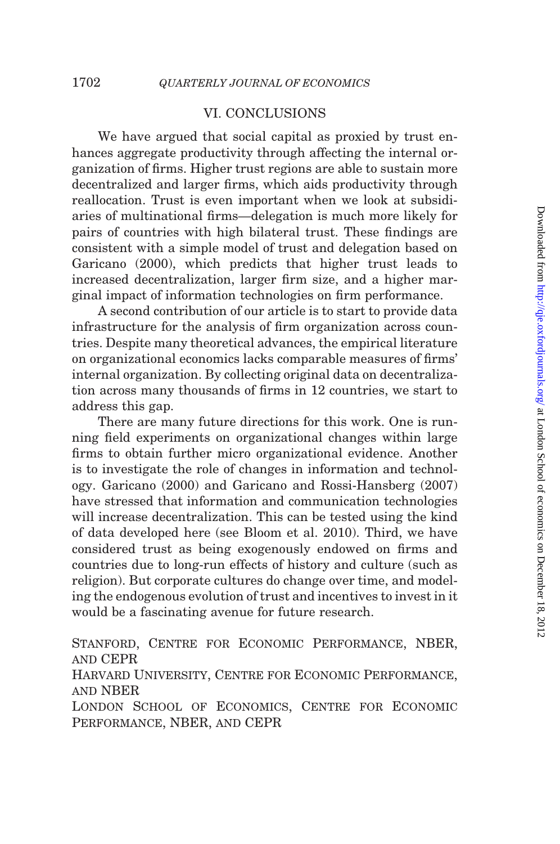## VI. CONCLUSIONS

We have argued that social capital as proxied by trust enhances aggregate productivity through affecting the internal organization of firms. Higher trust regions are able to sustain more decentralized and larger firms, which aids productivity through reallocation. Trust is even important when we look at subsidiaries of multinational firms—delegation is much more likely for pairs of countries with high bilateral trust. These findings are consistent with a simple model of trust and delegation based on [Garicano \(2000\),](#page-41-0) which predicts that higher trust leads to increased decentralization, larger firm size, and a higher marginal impact of information technologies on firm performance.

A second contribution of our article is to start to provide data infrastructure for the analysis of firm organization across countries. Despite many theoretical advances, the empirical literature on organizational economics lacks comparable measures of firms' internal organization. By collecting original data on decentralization across many thousands of firms in 12 countries, we start to address this gap.

There are many future directions for this work. One is running field experiments on organizational changes within large firms to obtain further micro organizational evidence. Another is to investigate the role of changes in information and technology. [Garicano \(2000\)](#page-41-0) and [Garicano and Rossi-Hansberg \(2007\)](#page-41-0) have stressed that information and communication technologies will increase decentralization. This can be tested using the kind of data developed here (see [Bloom et al. 2010\)](#page-40-0). Third, we have considered trust as being exogenously endowed on firms and countries due to long-run effects of history and culture (such as religion). But corporate cultures do change over time, and modeling the endogenous evolution of trust and incentives to invest in it would be a fascinating avenue for future research.

Stanford, Centre for Economic Performance, NBER, and CEPR Harvard University, Centre for Economic Performance, and NBER London School of Economics, Centre for Economic Performance, NBER, and CEPR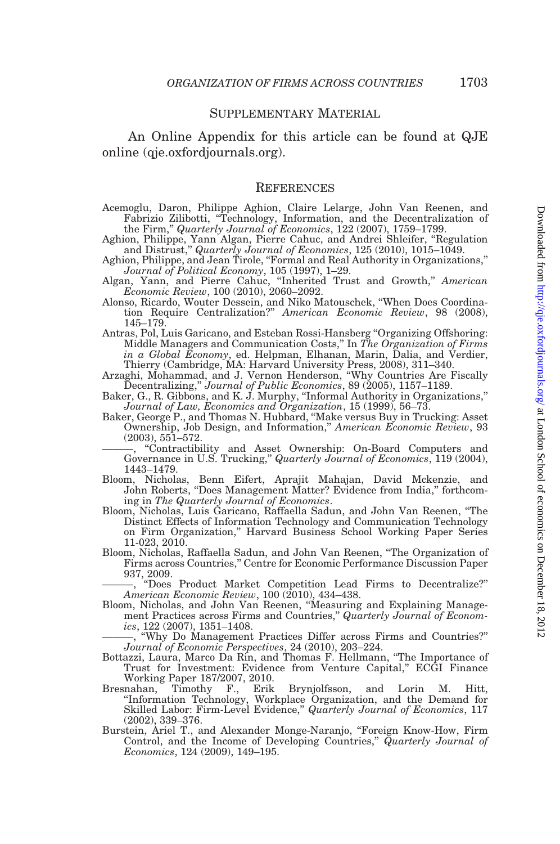#### Supplementary Material

<span id="page-40-0"></span>An [Online Appendix](http://hwmaint.qje.oxfordjournals.org/cgi/content/full/qjs029/DC1) for this article can be found at QJE online (qje.oxfordjournals.org).

#### **REFERENCES**

- Acemoglu, Daron, Philippe Aghion, Claire Lelarge, John Van Reenen, and Fabrizio Zilibotti, ''Technology, Information, and the Decentralization of
- the Firm," Quarterly Journal of Economics, 122 (2007), 1759–1799.<br>Aghion, Philippe, Yann Algan, Pierre Cahuc, and Andrei Shleifer, "Regulation and Distrust,'' Quarterly Journal of Economics, 125 (2010), 1015–1049.
- Aghion, Philippe, and Jean Tirole, ''Formal and Real Authority in Organizations,'' Journal of Political Economy, 105 (1997), 1–29.
- Algan, Yann, and Pierre Cahuc, "Inherited Trust and Growth," American Economic Review, 100 (2010), 2060–2092.
- Alonso, Ricardo, Wouter Dessein, and Niko Matouschek, ''When Does Coordination Require Centralization?'' American Economic Review, 98 (2008), 145–179.
- Antras, Pol, Luis Garicano, and Esteban Rossi-Hansberg ''Organizing Offshoring: Middle Managers and Communication Costs," In *The Organization of Firms* in a Global Economy, ed. Helpman, Elhanan, Marin, Dalia, and Verdier, Thierry (Cambridge, MA: Harvard University Press, 2008), 311–340.
- Arzaghi, Mohammad, and J. Vernon Henderson, ''Why Countries Are Fiscally Decentralizing,'' Journal of Public Economics, 89 (2005), 1157–1189.
- Baker, G., R. Gibbons, and K. J. Murphy, "Informal Authority in Organizations,"
- Journal of Law, Economics and Organization, 15 (1999), 56–73. Baker, George P., and Thomas N. Hubbard, ''Make versus Buy in Trucking: Asset Ownership, Job Design, and Information,'' American Economic Review, 93 (2003), 551–572.

———, ''Contractibility and Asset Ownership: On-Board Computers and Governance in U.S. Trucking," *Quarterly Journal of Economics*, 119 (2004), 1443–1479.

- Bloom, Nicholas, Benn Eifert, Aprajit Mahajan, David Mckenzie, and John Roberts, ''Does Management Matter? Evidence from India,'' forthcoming in The Quarterly Journal of Economics. Bloom, Nicholas, Luis Garicano, Raffaella Sadun, and John Van Reenen, ''The
- Distinct Effects of Information Technology and Communication Technology on Firm Organization,'' Harvard Business School Working Paper Series 11-023, 2010.
- Bloom, Nicholas, Raffaella Sadun, and John Van Reenen, ''The Organization of Firms across Countries,'' Centre for Economic Performance Discussion Paper 937, 2009.

———, ''Does Product Market Competition Lead Firms to Decentralize?'' American Economic Review, 100 (2010), 434–438.

Bloom, Nicholas, and John Van Reenen, ''Measuring and Explaining Management Practices across Firms and Countries," Quarterly Journal of Economics, 122 (2007), 1351–1408.

———, ''Why Do Management Practices Differ across Firms and Countries?'' Journal of Economic Perspectives, 24 (2010), 203–224. Bottazzi, Laura, Marco Da Rin, and Thomas F. Hellmann, ''The Importance of

- Trust for Investment: Evidence from Venture Capital,'' ECGI Finance Working Paper 187/2007, 2010.<br>Bresnahan, Timothy F., Erik
- Brynjolfsson, and Lorin M. Hitt, ''Information Technology, Workplace Organization, and the Demand for Skilled Labor: Firm-Level Evidence," Quarterly Journal of Economics, 117
- (2002), 339–376. Burstein, Ariel T., and Alexander Monge-Naranjo, ''Foreign Know-How, Firm Control, and the Income of Developing Countries," Quarterly Journal of Economics, 124 (2009), 149–195.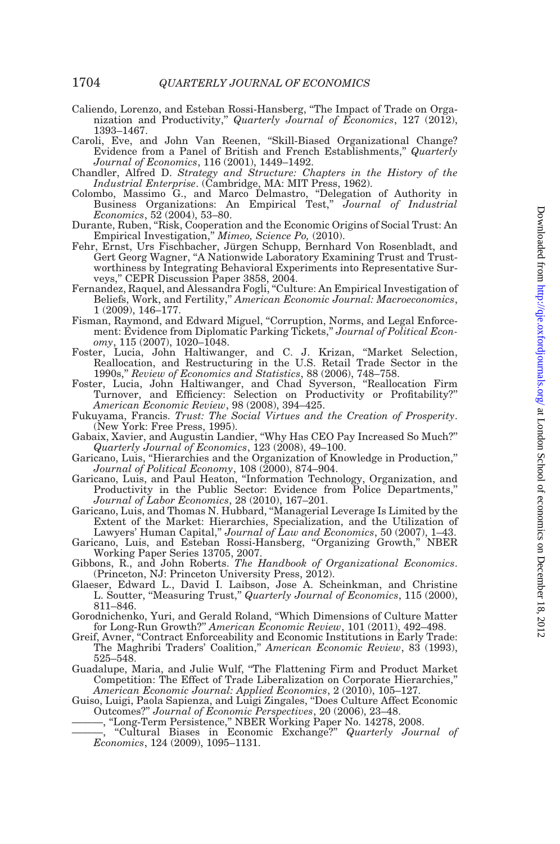- <span id="page-41-0"></span>Caliendo, Lorenzo, and Esteban Rossi-Hansberg, ''The Impact of Trade on Organization and Productivity," Quarterly Journal of Economics, 127 (2012), 1393–1467.
- Caroli, Eve, and John Van Reenen, "Skill-Biased Organizational Change? Evidence from a Panel of British and French Establishments,'' Quarterly Journal of Economics, 116 (2001), 1449–1492.
- Chandler, Alfred D. Strategy and Structure: Chapters in the History of the Industrial Enterprise. (Cambridge, MA: MIT Press, 1962).
- Colombo, Massimo G., and Marco Delmastro, ''Delegation of Authority in Business Organizations: An Empirical Test," Journal of Industrial  $Economics, 52 (2004), 53-80.$
- Durante, Ruben, ''Risk, Cooperation and the Economic Origins of Social Trust: An Empirical Investigation,'' Mimeo, Science Po, (2010).
- Fehr, Ernst, Urs Fischbacher, Jürgen Schupp, Bernhard Von Rosenbladt, and Gert Georg Wagner, ''A Nationwide Laboratory Examining Trust and Trustworthiness by Integrating Behavioral Experiments into Representative Surveys,'' CEPR Discussion Paper 3858, 2004.
- Fernandez, Raquel, and Alessandra Fogli, ''Culture: An Empirical Investigation of Beliefs, Work, and Fertility,'' American Economic Journal: Macroeconomics, 1 (2009), 146–177.
- Fisman, Raymond, and Edward Miguel, "Corruption, Norms, and Legal Enforcement: Evidence from Diplomatic Parking Tickets," Journal of Political Econ-
- omy, 115 (2007), 1020–1048. Foster, Lucia, John Haltiwanger, and C. J. Krizan, ''Market Selection, Reallocation, and Restructuring in the U.S. Retail Trade Sector in the 1990s,'' Review of Economics and Statistics, 88 (2006), 748–758.
- Foster, Lucia, John Haltiwanger, and Chad Syverson, ''Reallocation Firm Turnover, and Efficiency: Selection on Productivity or Profitability?''
- American Economic Review, 98 (2008), 394–425. Fukuyama, Francis. Trust: The Social Virtues and the Creation of Prosperity. (New York: Free Press, 1995).
- Gabaix, Xavier, and Augustin Landier, ''Why Has CEO Pay Increased So Much?'' Quarterly Journal of Economics, 123 (2008), 49–100.
- Garicano, Luis, ''Hierarchies and the Organization of Knowledge in Production,'' Journal of Political Economy, 108 (2000), 874-904.
- Garicano, Luis, and Paul Heaton, ''Information Technology, Organization, and Productivity in the Public Sector: Evidence from Police Departments,'' Journal of Labor Economics, 28 (2010), 167–201.
- Garicano, Luis, and Thomas N. Hubbard, ''Managerial Leverage Is Limited by the Extent of the Market: Hierarchies, Specialization, and the Utilization of Lawyers' Human Capital,'' Journal of Law and Economics, 50 (2007), 1–43.
- Garicano, Luis, and Esteban Rossi-Hansberg, "Organizing Growth," NBER Working Paper Series 13705, 2007.
- Gibbons, R., and John Roberts. The Handbook of Organizational Economics. (Princeton, NJ: Princeton University Press, 2012).
- Glaeser, Edward L., David I. Laibson, Jose A. Scheinkman, and Christine L. Soutter, "Measuring Trust," Quarterly Journal of Economics, 115 (2000), 811–846.
- Gorodnichenko, Yuri, and Gerald Roland, ''Which Dimensions of Culture Matter for Long-Run Growth?'' American Economic Review, 101 (2011), 492–498.
- Greif, Avner, ''Contract Enforceability and Economic Institutions in Early Trade: The Maghribi Traders' Coalition,'' American Economic Review, 83 (1993), 525–548.
- Guadalupe, Maria, and Julie Wulf, ''The Flattening Firm and Product Market Competition: The Effect of Trade Liberalization on Corporate Hierarchies,'' American Economic Journal: Applied Economics, 2 (2010), 105–127.
- Guiso, Luigi, Paola Sapienza, and Luigi Zingales, ''Does Culture Affect Economic Outcomes?'' Journal of Economic Perspectives, 20 (2006), 23–48.
	- ———, ''Long-Term Persistence,'' NBER Working Paper No. 14278, 2008.
	- "Cultural Biases in Economic Exchange?" Quarterly Journal of Economics, 124 (2009), 1095–1131.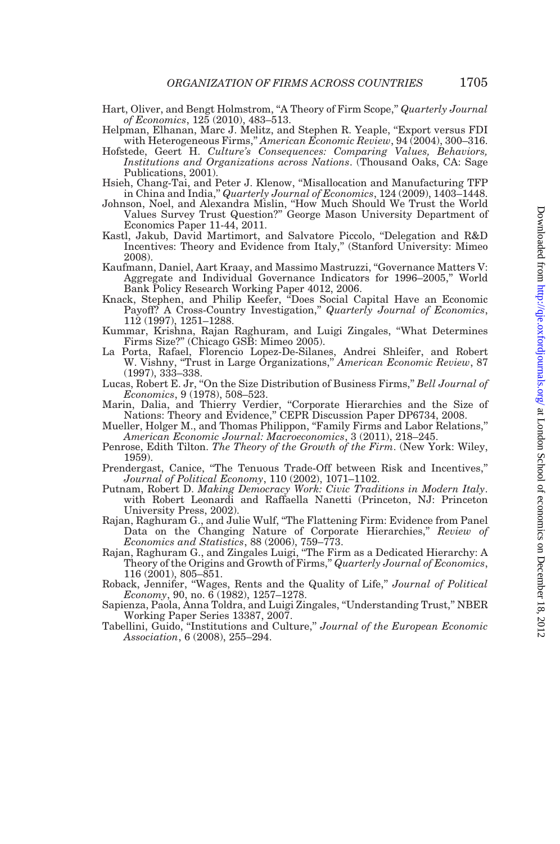- <span id="page-42-0"></span>Hart, Oliver, and Bengt Holmstrom, "A Theory of Firm Scope," Quarterly Journal of Economics, 125 (2010), 483–513.
- Helpman, Elhanan, Marc J. Melitz, and Stephen R. Yeaple, "Export versus FDI
- with Heterogeneous Firms,'' American Economic Review, 94 (2004), 300–316. Hofstede, Geert H. Culture's Consequences: Comparing Values, Behaviors, Institutions and Organizations across Nations. (Thousand Oaks, CA: Sage Publications, 2001).
- Hsieh, Chang-Tai, and Peter J. Klenow, ''Misallocation and Manufacturing TFP in China and India,'' Quarterly Journal of Economics, 124 (2009), 1403–1448.
- Johnson, Noel, and Alexandra Mislin, ''How Much Should We Trust the World Values Survey Trust Question?'' George Mason University Department of Economics Paper 11-44, 2011.
- Kastl, Jakub, David Martimort, and Salvatore Piccolo, ''Delegation and R&D Incentives: Theory and Evidence from Italy,'' (Stanford University: Mimeo 2008).
- Kaufmann, Daniel, Aart Kraay, and Massimo Mastruzzi, ''Governance Matters V: Aggregate and Individual Governance Indicators for 1996–2005,'' World Bank Policy Research Working Paper 4012, 2006.
- Knack, Stephen, and Philip Keefer, "Does Social Capital Have an Economic Payoff? A Cross-Country Investigation," Quarterly Journal of Economics, 112 (1997), 1251–1288.
- Kummar, Krishna, Rajan Raghuram, and Luigi Zingales, ''What Determines Firms Size?'' (Chicago GSB: Mimeo 2005).
- La Porta, Rafael, Florencio Lopez-De-Silanes, Andrei Shleifer, and Robert W. Vishny, "Trust in Large Organizations," American Economic Review, 87 (1997), 333–338.
- Lucas, Robert E. Jr, "On the Size Distribution of Business Firms," Bell Journal of Economics, 9 (1978), 508–523.
- Marin, Dalia, and Thierry Verdier, ''Corporate Hierarchies and the Size of
- Nations: Theory and Evidence,'' CEPR Discussion Paper DP6734, 2008. Mueller, Holger M., and Thomas Philippon, ''Family Firms and Labor Relations,''
- American Economic Journal: Macroeconomics, 3 (2011), 218–245. Penrose, Edith Tilton. The Theory of the Growth of the Firm. (New York: Wiley, 1959).
- Prendergast, Canice, ''The Tenuous Trade-Off between Risk and Incentives,''
- Journal of Political Economy, 110 (2002), 1071–1102. Putnam, Robert D. Making Democracy Work: Civic Traditions in Modern Italy. with Robert Leonardi and Raffaella Nanetti (Princeton, NJ: Princeton University Press, 2002).
- Rajan, Raghuram G., and Julie Wulf, ''The Flattening Firm: Evidence from Panel Data on the Changing Nature of Corporate Hierarchies," Review of Economics and Statistics, 88 (2006), 759–773.
- Rajan, Raghuram G., and Zingales Luigi, ''The Firm as a Dedicated Hierarchy: A Theory of the Origins and Growth of Firms," Quarterly Journal of Economics, 116 (2001), 805–851.
- Roback, Jennifer, "Wages, Rents and the Quality of Life," Journal of Political Economy, 90, no. 6 (1982), 1257–1278.
- Sapienza, Paola, Anna Toldra, and Luigi Zingales, ''Understanding Trust,'' NBER Working Paper Series 13387, 2007.
- Tabellini, Guido, "Institutions and Culture," Journal of the European Economic Association, 6 (2008), 255–294.